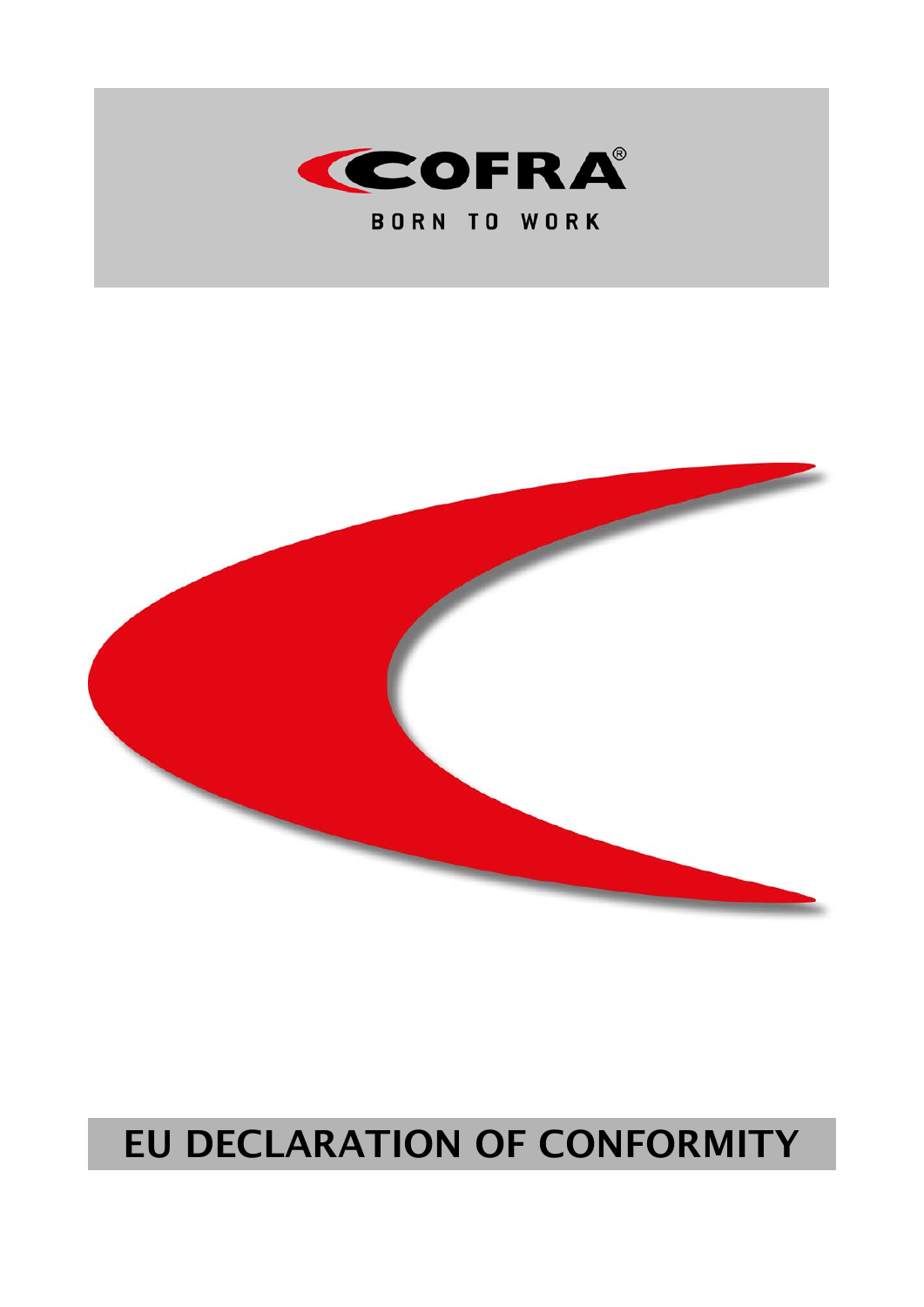

**BORN TO WORK** 



# **EU DECLARATION OF CONFORMITY**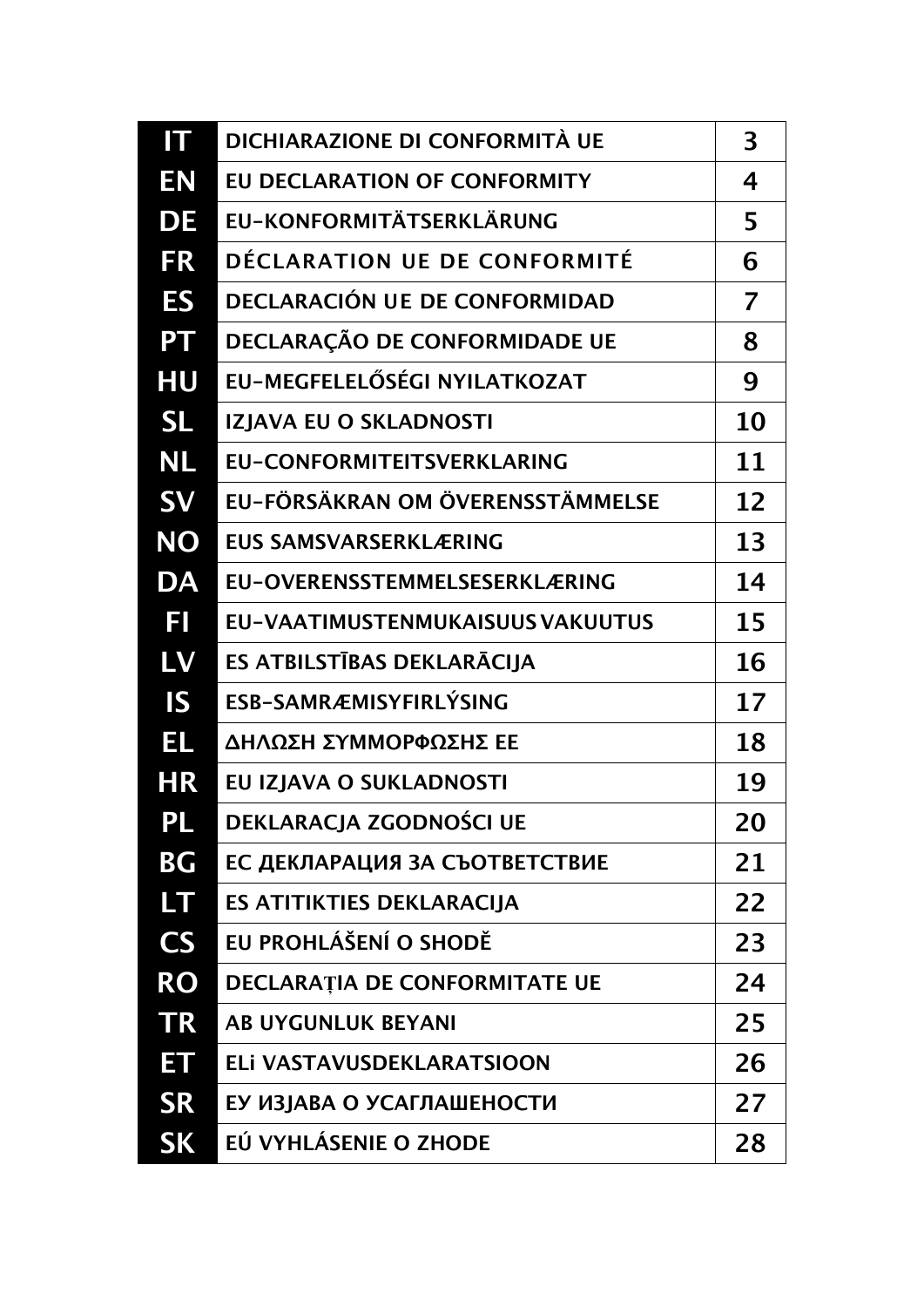| $\boldsymbol{\Pi}$ | DICHIARAZIONE DI CONFORMITÀ UE          | 3  |
|--------------------|-----------------------------------------|----|
| EN                 | EU DECLARATION OF CONFORMITY            | 4  |
| <b>DE</b>          | EU-KONFORMITÄTSERKLÄRUNG                | 5  |
| <b>FR</b>          | DÉCLARATION UE DE CONFORMITÉ            | 6  |
| <b>ES</b>          | DECLARACIÓN UE DE CONFORMIDAD           | 7  |
| PT                 | DECLARAÇÃO DE CONFORMIDADE UE           | 8  |
| HU                 | EU-MEGFELELŐSÉGI NYILATKOZAT            | 9  |
| <b>SL</b>          | IZJAVA EU O SKLADNOSTI                  | 10 |
| <b>NL</b>          | <b>EU-CONFORMITEITSVERKLARING</b>       | 11 |
| <b>SV</b>          | EU-FÖRSÄKRAN OM ÖVERENSSTÄMMELSE        | 12 |
| <b>NO</b>          | <b>EUS SAMSVARSERKLÆRING</b>            | 13 |
| DA                 | EU-OVERENSSTEMMELSESERKLÆRING           | 14 |
| Ħ                  | <b>EU-VAATIMUSTENMUKAISUUS VAKUUTUS</b> | 15 |
| LV                 | ES ATBILSTĪBAS DEKLARĀCIJA              | 16 |
| IS                 | ESB-SAMRÆMISYFIRLÝSING                  | 17 |
| EL                 | ΔΗΛΩΣΗ ΣΥΜΜΟΡΦΩΣΗΣ ΕΕ                   | 18 |
| <b>HR</b>          | EU IZJAVA O SUKLADNOSTI                 | 19 |
| $\mathsf{PL}$      | DEKLARACJA ZGODNOŚCI UE                 | 20 |
| BG                 | ЕС ДЕКЛАРАЦИЯ ЗА СЪОТВЕТСТВИЕ           | 21 |
| LT.                | <b>ES ATITIKTIES DEKLARACIJA</b>        | 22 |
| <b>CS</b>          | EU PROHLÁŠENÍ O SHODĚ                   | 23 |
| <b>RO</b>          | <b>DECLARATIA DE CONFORMITATE UE</b>    | 24 |
| <b>TR</b>          | <b>AB UYGUNLUK BEYANI</b>               | 25 |
| ET                 | ELI VASTAVUSDEKLARATSIOON               | 26 |
| <b>SR</b>          | ЕУ ИЗЈАВА О УСАГЛАШЕНОСТИ               | 27 |
| <b>SK</b>          | EÚ VYHLÁSENIE O ZHODE                   | 28 |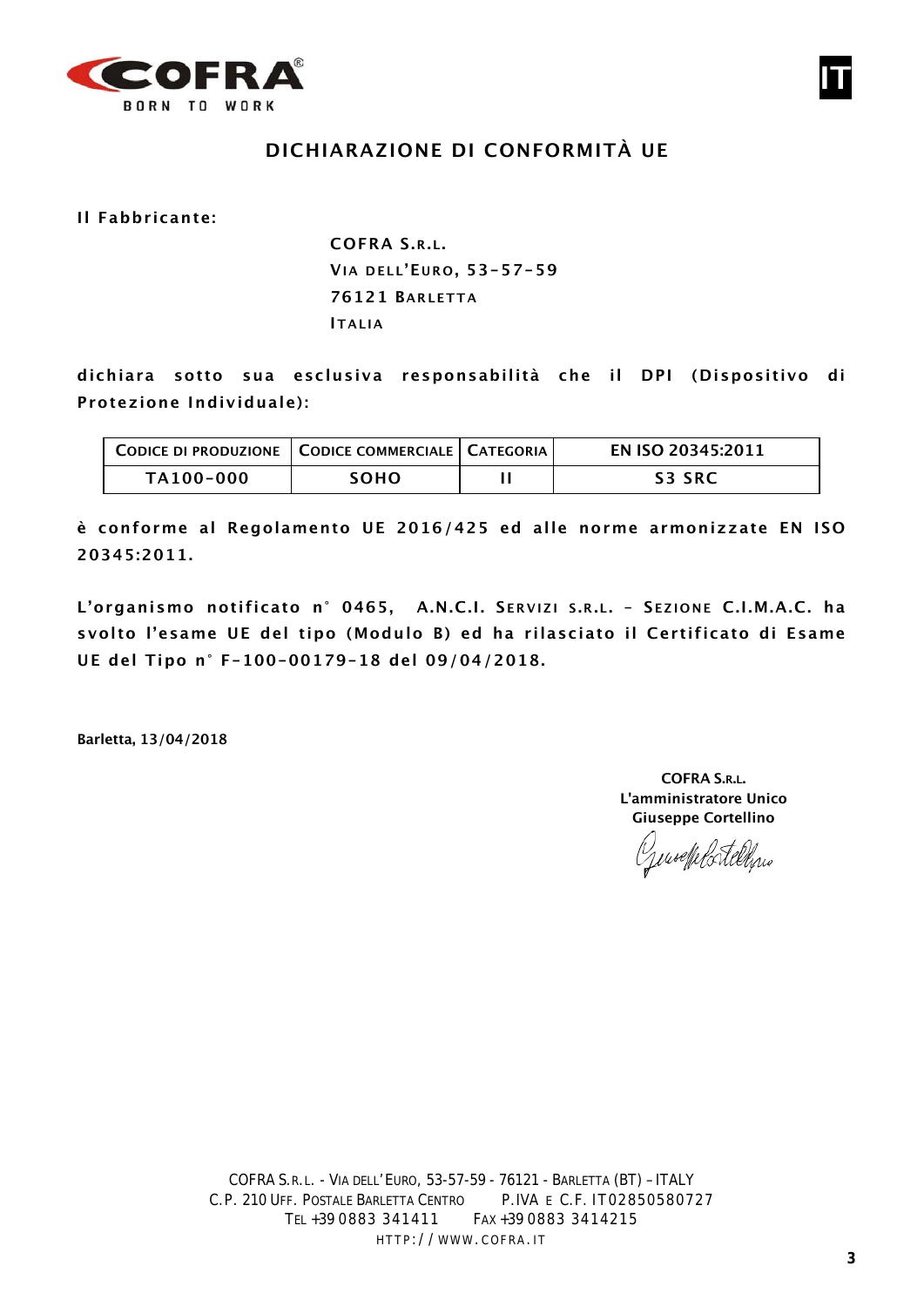

# **DICHIARAZIONE DI CONFORMITÀ UE**

**Il Fabbricante:**

**COFRA S.R.L. VIA DELL'E URO , 53-57-59 76121 BARLETTA ITALIA**

**dichiara sotto sua esclusiva responsabilità che il DPI (Dispositivo di Protezione Individuale):**

| CODICE DI PRODUZIONE   CODICE COMMERCIALE   CATEGORIA |             | EN ISO 20345:2011 |
|-------------------------------------------------------|-------------|-------------------|
| TA100-000                                             | <b>SOHO</b> | <b>S3 SRC</b>     |

**è conforme al Regolamento UE 2016/425 ed alle norme armonizzate EN ISO 20345:2011.**

**L'organismo notificato n° 0465, A.N.C.I. S ERVIZI S .R.L. – S EZIONE C.I.M.A.C. ha svolto l'esame UE del tipo (Modulo B) ed ha rilasciato il Certificato di Esame UE del Tipo n° F-100-00179-18 del 09/04/2018.**

**Barletta, 13/04/2018**

**COFRA S.R.L. L'amministratore Unico Giuseppe Cortellino**

Genseffelstellen

**IT**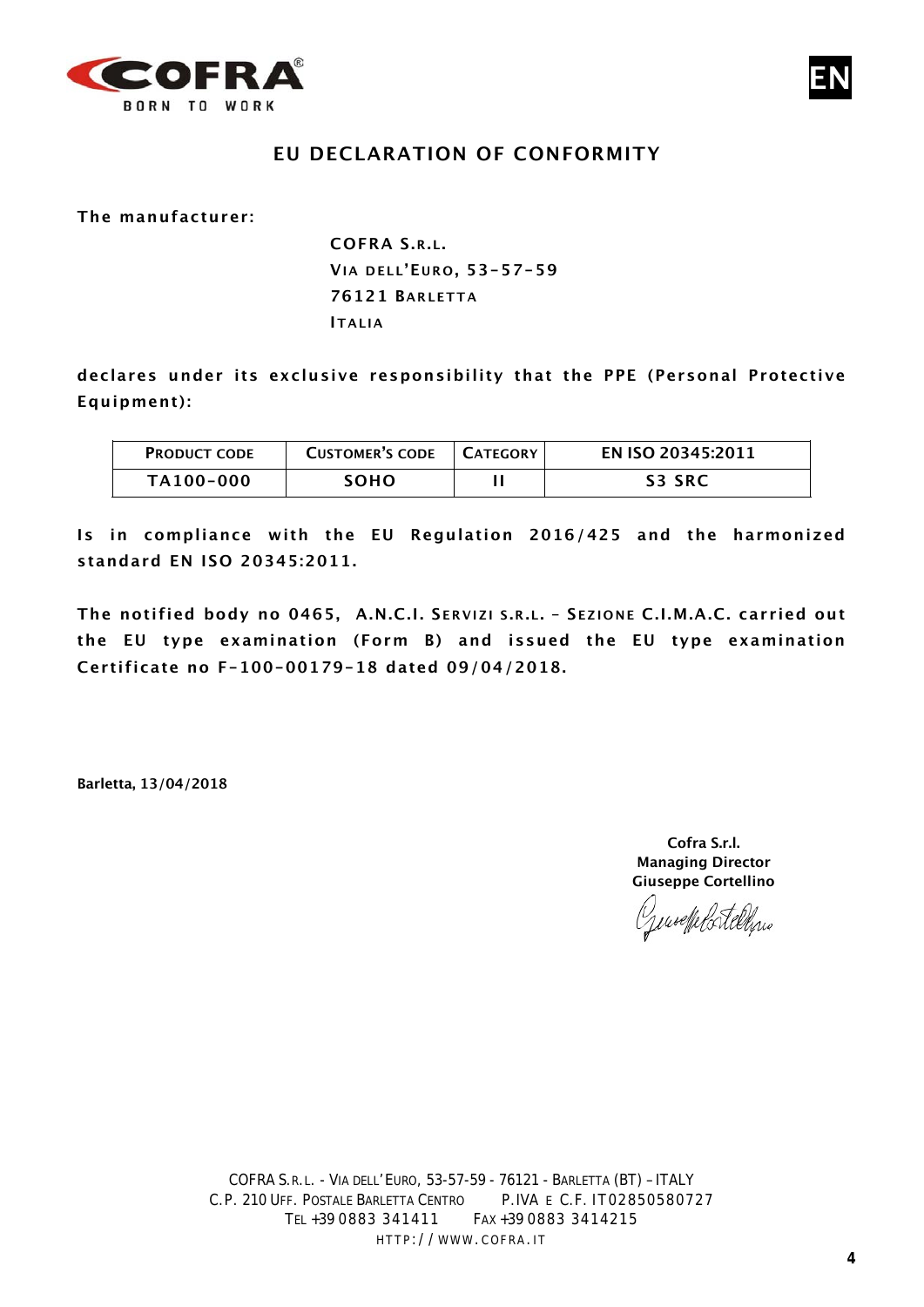

## **EU DECLARATION OF CONFORMITY**

**The manufacturer:**

**COFRA S.R.L. VIA DELL'E UR O , 53-57-59 76121 BARLETTA ITALIA**

**declares under its exclusive responsibility that the PPE (Personal Protective Equipment):**

| <b>PRODUCT CODE</b> | <b>CUSTOMER'S CODE</b> | L CATEGORY | EN ISO 20345:2011 |
|---------------------|------------------------|------------|-------------------|
| TA100-000           | <b>SOHO</b>            |            | <b>S3 SRC</b>     |

**Is in compliance with the EU Regulation 2016/425 and the harmonized standard EN ISO 20345:2011.**

**The notified body no 0465, A.N.C.I. S ERVIZI S .R.L. – S EZIONE C.I.M.A.C. carried out the EU type examination (Form B) and issued the EU type examination Certificate no F-100-00179-18 dated 09/04/2018.**

**Barletta, 13/04/2018**

**Cofra S.r.l. Managing Director Giuseppe Cortellino**

Gensettelortelling

**EN**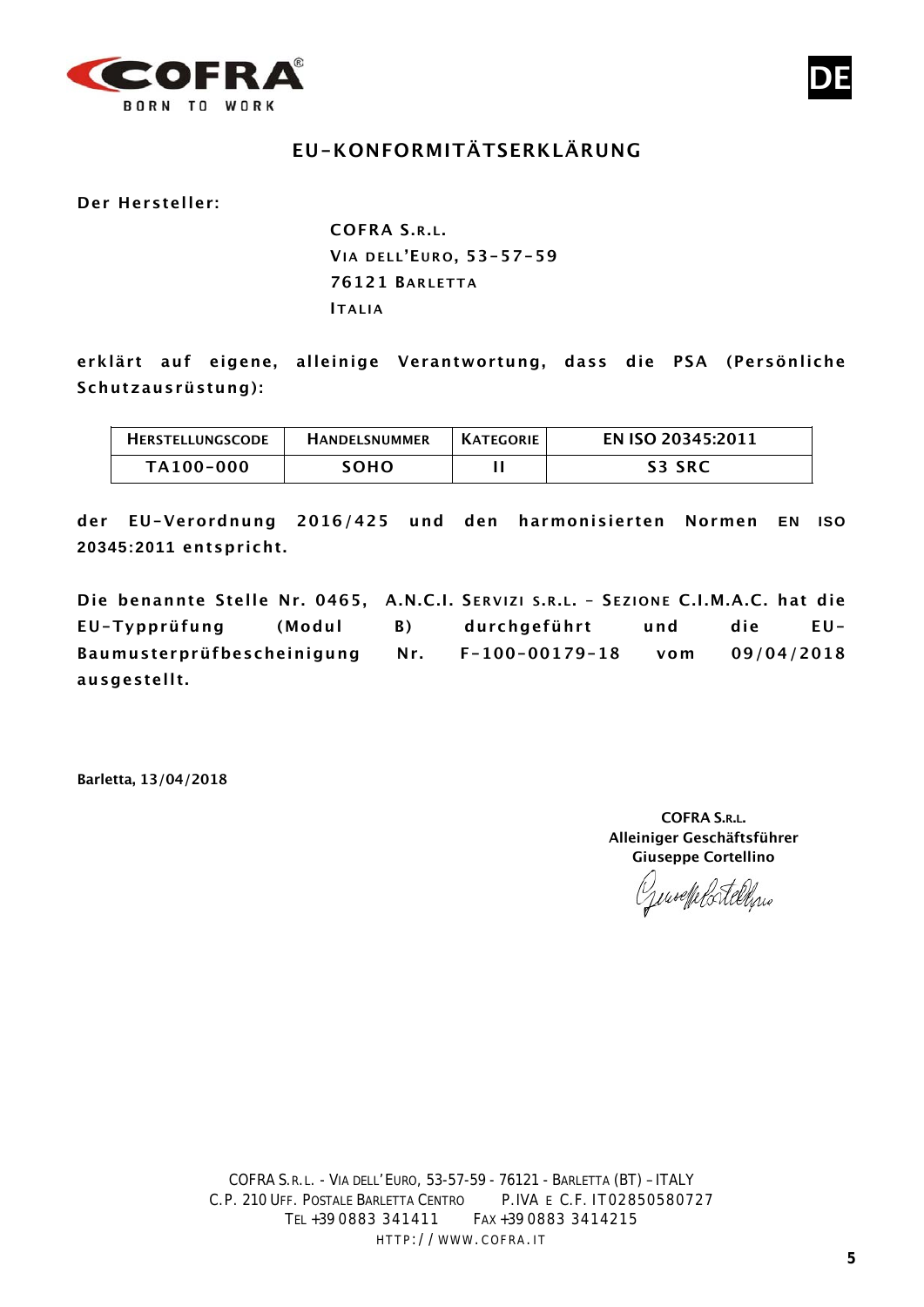

# **EU-KONFORMITÄTSERKLÄRUNG**

**Der Hersteller:**

**COFRA S.R.L. VIA DELL'E URO , 53-57-59 76121 BARLETTA ITALIA**

**erklärt auf eigene, alleinige Verantwortung, dass die PSA (Persönliche Schutzausrüstung):**

| <b>HERSTELLUNGSCODE</b> | <b>HANDELSNUMMER</b> | <b>KATEGORIE</b> | EN ISO 20345:2011 |
|-------------------------|----------------------|------------------|-------------------|
| TA100-000               | <b>SOHO</b>          |                  | <b>S3 SRC</b>     |

**der EU-Verordnung 2016/425 und den harmonisierten Normen EN ISO 20345:2011 entspricht.**

**Die benannte Stelle Nr. 0465, A.N.C.I. S ERVIZI S .R.L. – S EZIONE C.I.M.A.C. hat die EU-Typprüfung (Modul B) durchgeführt und die EU-Baumusterprüfbescheinigung Nr. F-100-00179-18 vom 09/04/2018 ausgestellt.**

**Barletta, 13/04/2018**

**COFRA S.R.L. Alleiniger Geschäftsführer Giuseppe Cortellino**

Generale Portelline

**DE**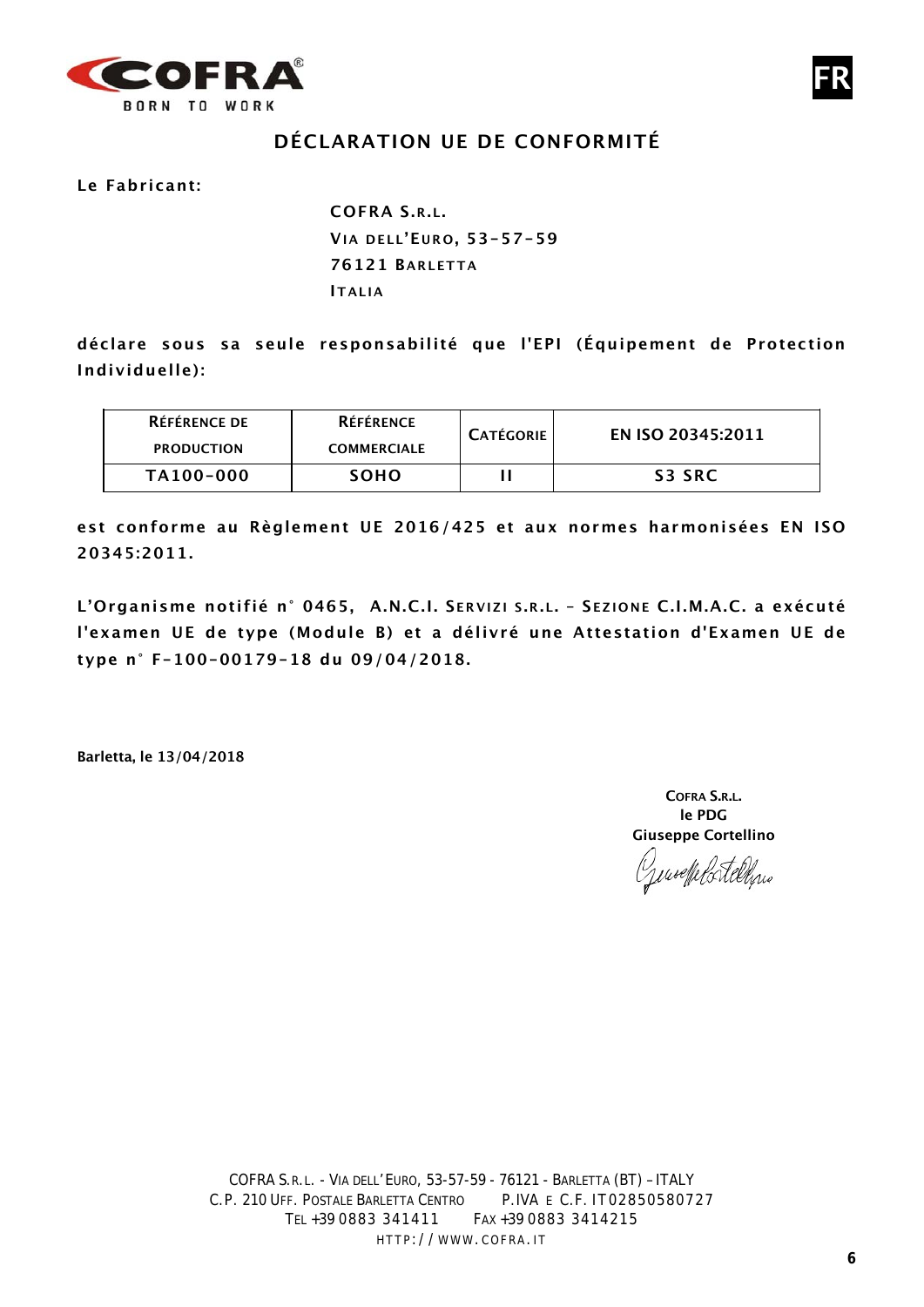

# **DÉCLARATION UE DE CONFORMITÉ**

**Le Fabricant:**

**COFRA S.R.L. VIA DELL'E URO , 53-57-59 76121 BARLETTA ITALIA**

**déclare sous sa seule responsabilité que l'EPI (Équipement de Protection Individuelle):**

| <b>RÉFÉRENCE DE</b><br><b>PRODUCTION</b> | <b>RÉFÉRENCE</b><br><b>COMMERCIALE</b> | <b>CATÉGORIE</b> | EN ISO 20345:2011 |
|------------------------------------------|----------------------------------------|------------------|-------------------|
| TA100-000                                | <b>SOHO</b>                            |                  | S3 SRC            |

**est conforme au Règlement UE 2016/425 et aux normes harmonisées EN ISO 20345:2011.**

**L'Organisme notifié n° 0465, A.N.C.I. S ERVIZI S .R.L. – S EZIONE C.I.M.A.C. a exécuté l'examen UE de type (Module B) et a délivré une Attestation d'Examen UE de type n° F-100-00179-18 du 09/04/2018.**

**Barletta, le 13/04/2018**

**COFRA S.R.L. le PDG Giuseppe Cortellino**

ensefelortellens

**FR**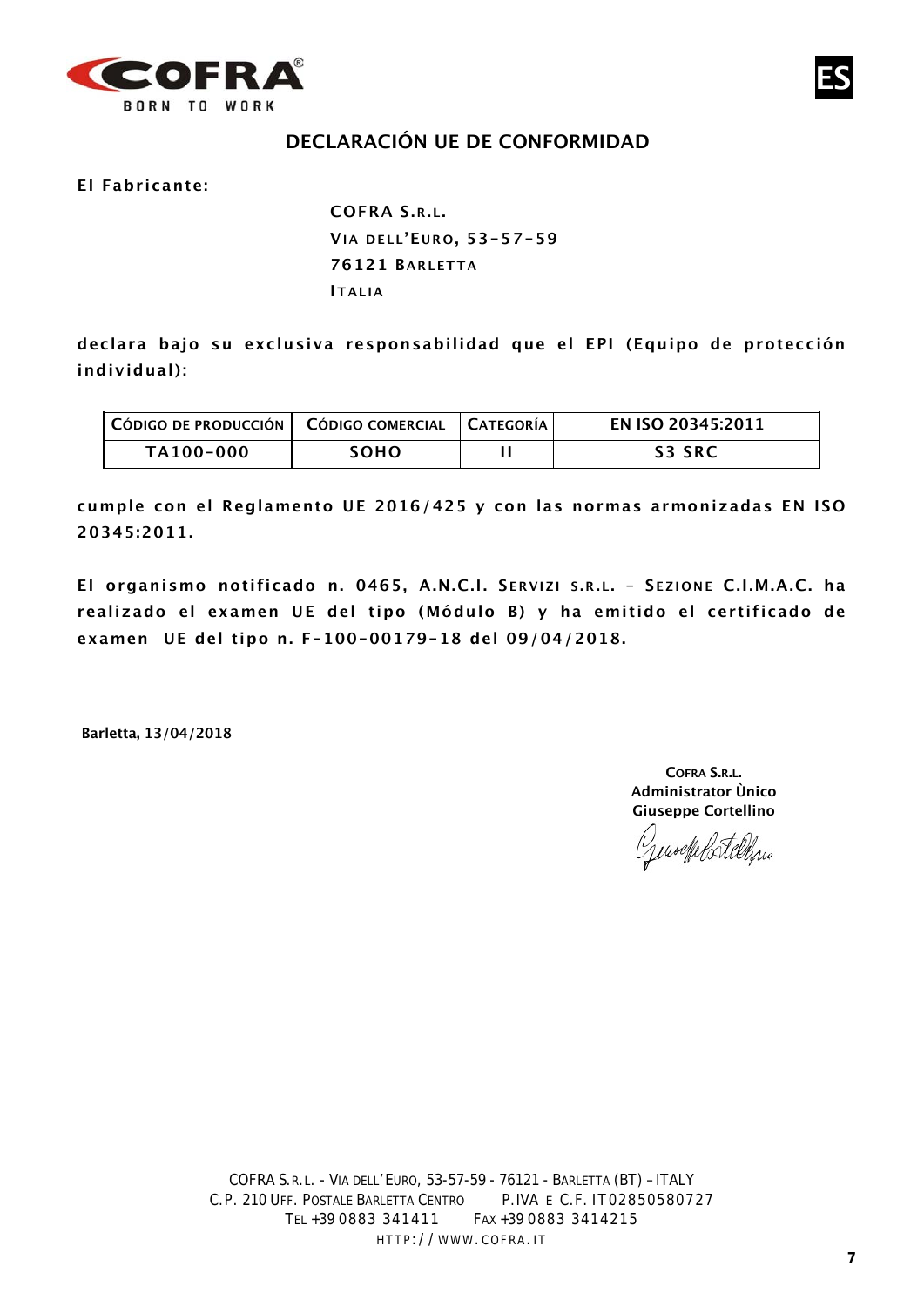



#### **El Fabricante:**

**COFRA S.R.L. VIA DELL'E URO , 53-57-59 76121 BARLETTA ITALIA**

**declara bajo su exclusiva responsabilidad que el EPI (Equipo de protección individual):**

| $\mid$ Código de producción $\mid$ Código comercial $\mid$ Categoría |             | EN ISO 20345:2011 |
|----------------------------------------------------------------------|-------------|-------------------|
| TA100-000                                                            | <b>SOHO</b> | <b>S3 SRC</b>     |

**cumple con el Reglamento UE 2016/425 y con las normas armonizadas EN ISO 20345:2011.**

**El organismo notificado n. 0465, A.N.C.I. S ERVIZI S .R.L. – S EZIONE C.I.M.A.C. ha realizado el examen UE del tipo (Módulo B) y ha emitido el certificado de examen UE del tipo n. F-100-00179-18 del 09/04/2018.**

**Barletta, 13/04/2018**

**COFRA S.R.L. Administrator Ùnico Giuseppe Cortellino**

puselfelortelling

**ES**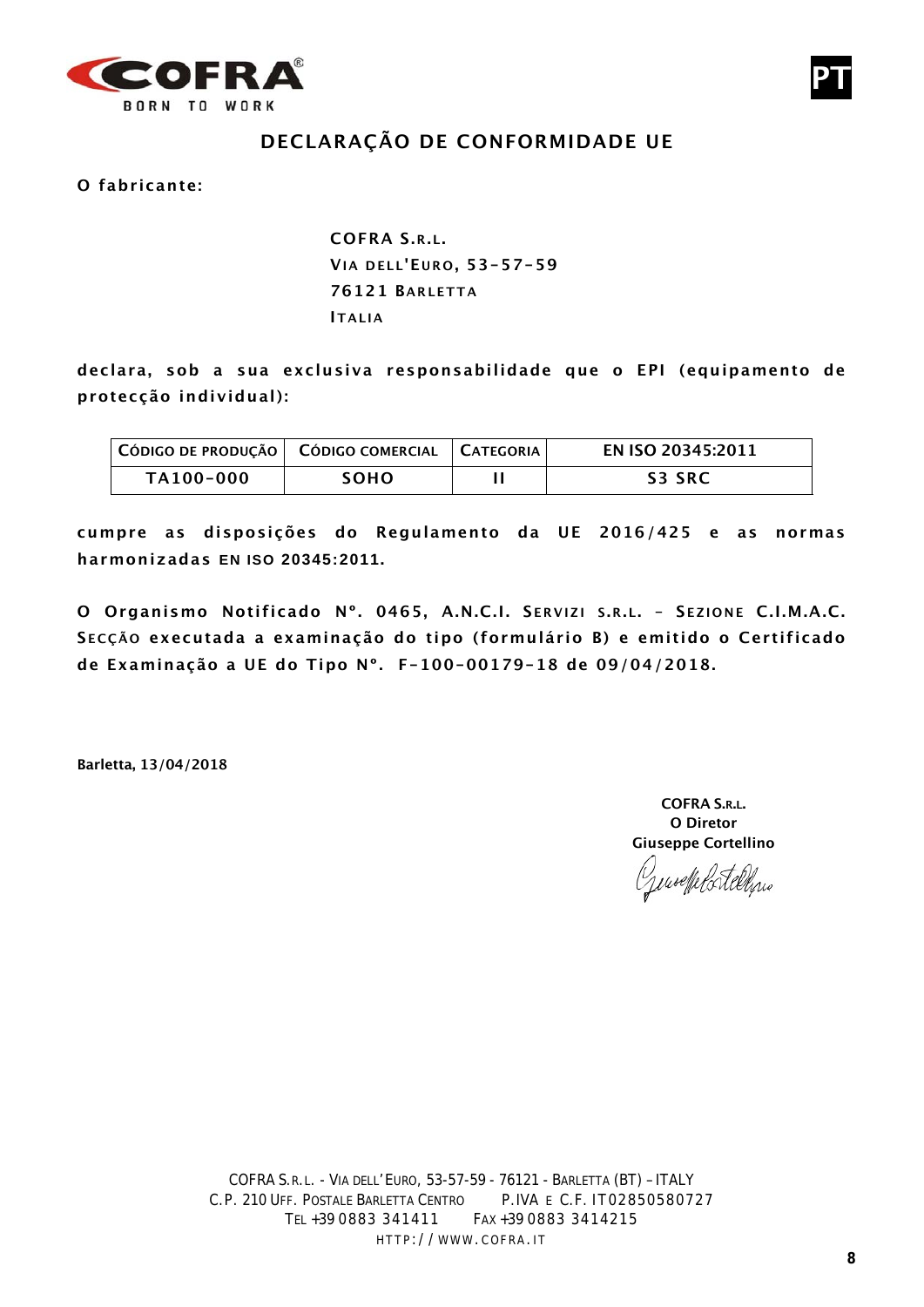

# **DECLARAÇÃO DE CONFORMIDADE UE**

**O fabricante:**

**COFRA S.R.L. VIA DELL'E URO , 53-57-59 76121 BARLETTA ITALIA**

**declara, sob a sua exclusiva responsabilidade que o EPI (equipamento de protecção individual):**

| CÓDIGO DE PRODUÇÃO   CÓDIGO COMERCIAL   CATEGORIA |      | EN ISO 20345:2011 |
|---------------------------------------------------|------|-------------------|
| TA100-000                                         | SOHO | S3 SRC            |

**cumpre as disposições do Regulamento da UE 2016/425 e as normas harmonizadas EN ISO 20345:2011.**

**O Organismo Notificado Nº. 0465, A.N.C.I. S ERVIZI S .R.L. – S EZIONE C.I.M.A.C. S ECÇÃO executada a examinação do tipo (formulário B) e emitido o Certificado de Examinação a UE do Tipo Nº. F-100-00179-18 de 09/04/2018.**

**Barletta, 13/04/2018**

**COFRA S.R.L. O Diretor Giuseppe Cortellino**

woelle ortelling

**PT**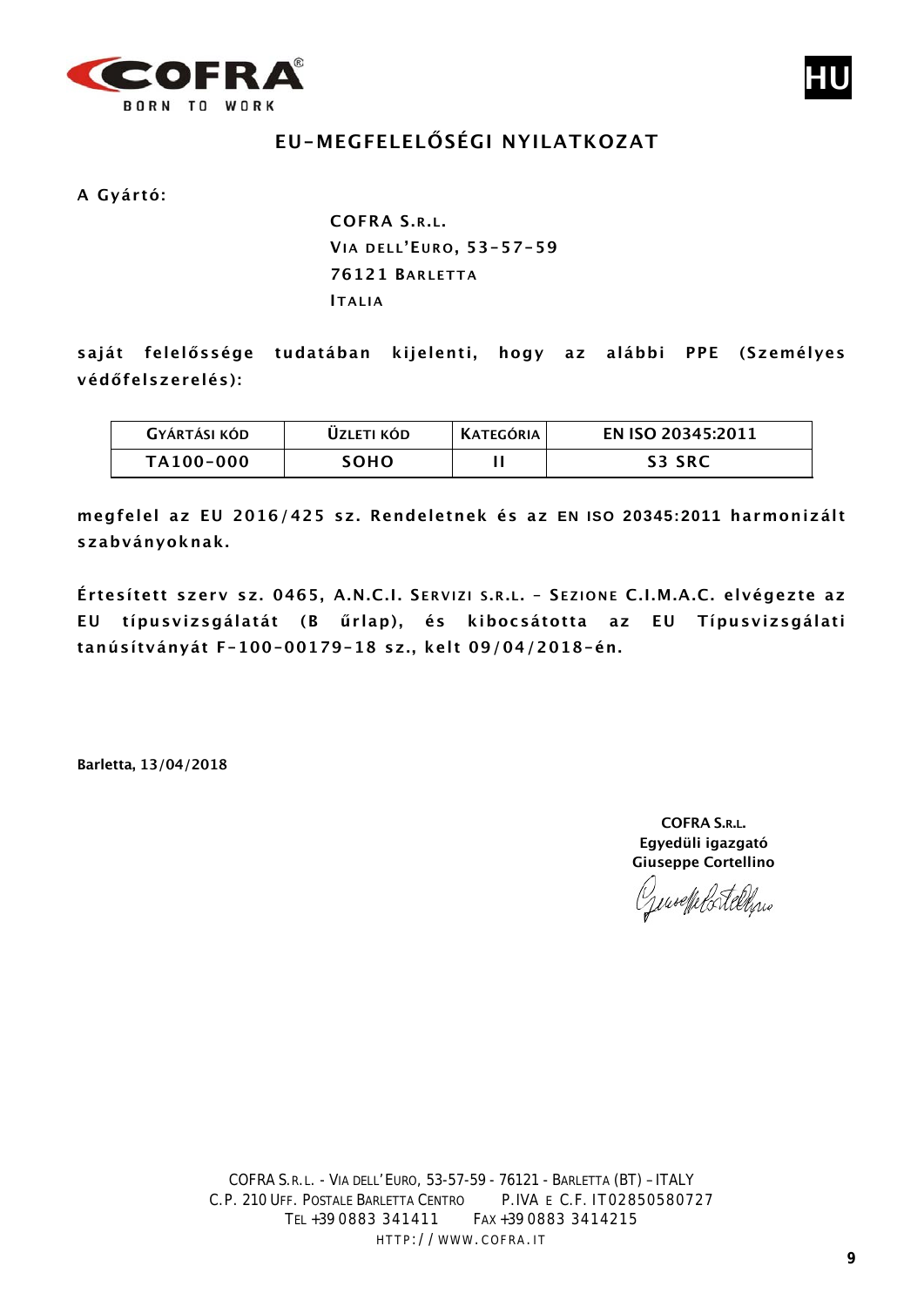



# **EU-MEGFELELŐSÉGI NYILATKOZAT**

**A Gyártó:**

**COFRA S.R.L. VIA DELL'E URO , 53-57-59 76121 BARLETTA ITALIA**

**saját felelőssége tudatában kijelenti, hogy az alábbi PPE (Személyes védőfelszerelés):**

| <b>GYÁRTÁSI KÓD</b> | UZLETI KÓD. | <b>KATEGÓRIA</b> | EN ISO 20345:2011 |
|---------------------|-------------|------------------|-------------------|
| TA100-000           | <b>SOHO</b> |                  | <b>S3 SRC</b>     |

**megfelel az EU 2016/425 sz. Rendeletnek és az EN ISO 20345:2011 harmonizált szabványoknak.**

**Értesített szerv sz. 0465, A.N.C.I. S ERVIZI S .R.L. – S EZIONE C.I.M.A.C. elvégezte az EU típusvizsgálatát (B űrlap), és kibocsátotta az EU Típusvizsgálati tanúsítványát F-100-00179-18 sz., kelt 09/04/2018-én.**

**Barletta, 13/04/2018**

**COFRA S.R.L. Egyedüli igazgató Giuseppe Cortellino**

Gensefelstelling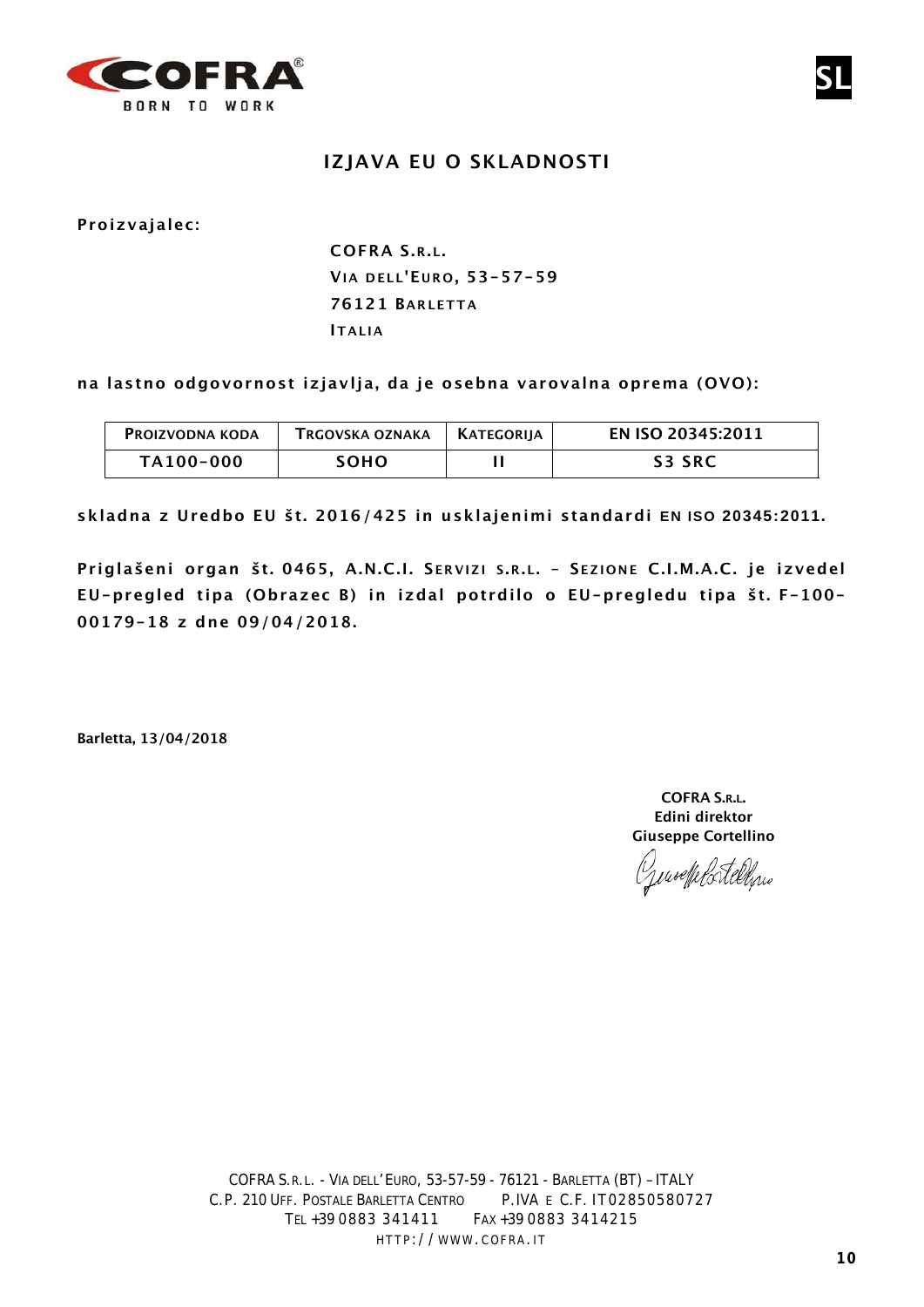

## **IZJAVA EU O SKLADNOSTI**

**Proizvajalec:**

# **COFRA S.R.L. VIA DELL'E URO , 53-57-59 76121 BARLETTA ITALIA**

**na lastno odgovornost izjavlja, da je osebna varovalna oprema (OVO):**

| <b>PROIZVODNA KODA</b> | TRGOVSKA OZNAKA | KATEGORIIA | EN ISO 20345:2011 |
|------------------------|-----------------|------------|-------------------|
| TA100-000              | SOHO.           |            | <b>S3 SRC</b>     |

**skladna z Uredbo EU št. 2016/425 in usklajenimi standardi EN ISO 20345:2011.**

**Priglašeni organ št. 0465, A.N.C.I. S ERVIZI S .R.L. – S EZIONE C.I.M.A.C. je izvedel EU-pregled tipa (Obrazec B) in izdal potrdilo o EU-pregledu tipa št. F-100- 00179-18 z dne 09/04/2018.**

**Barletta, 13/04/2018**

**COFRA S.R.L. Edini direktor Giuseppe Cortellino**

Jenseffels tellens

**SL**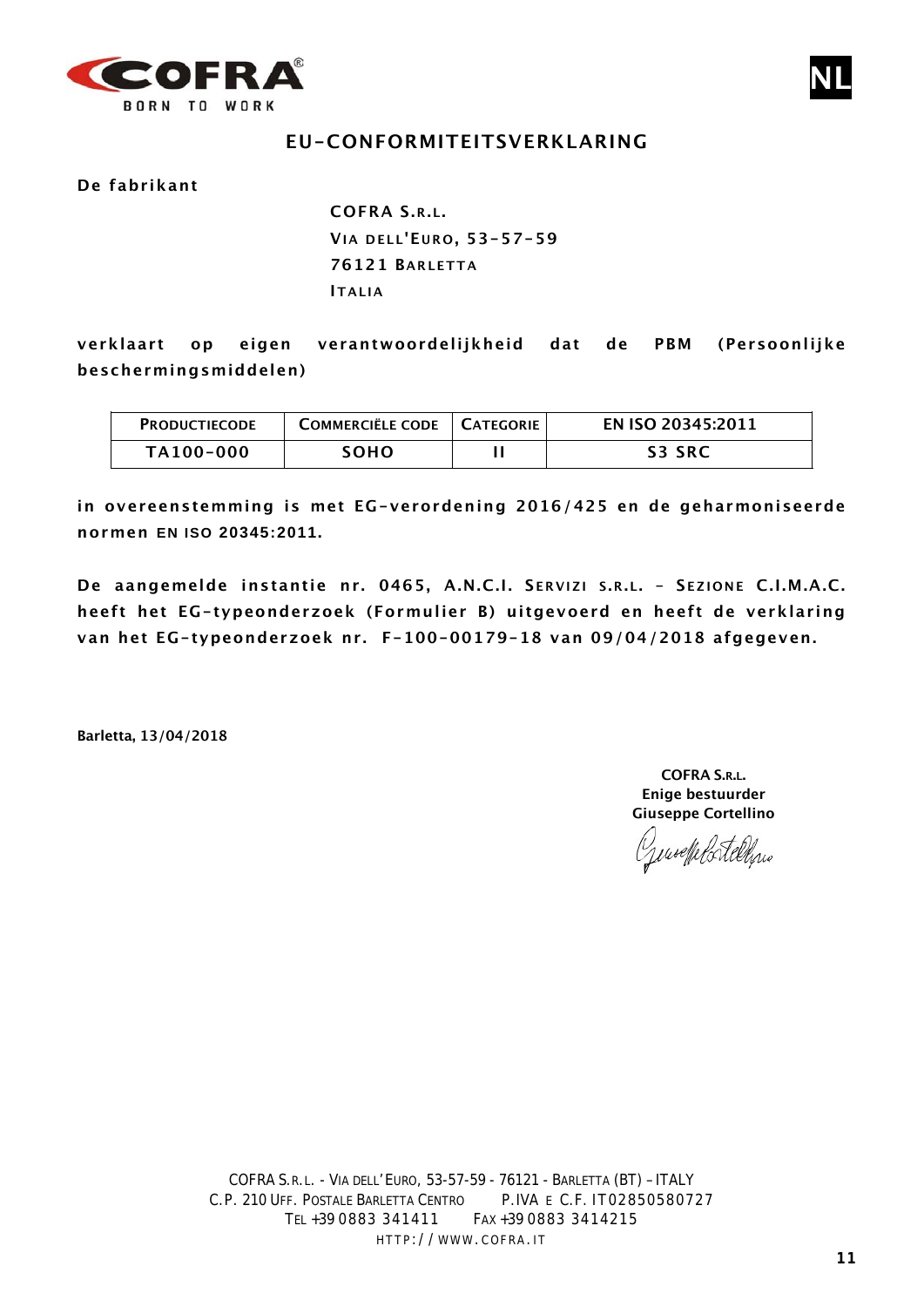

### **EU-CONFORMITEITSVERKLARING**

#### **De fabrikant**

**COFRA S.R.L. VIA DELL'E URO , 53-57-59 76121 BARLETTA ITALIA**

**verklaart op eigen verantwoordelijkheid dat de PBM (Persoonlijke beschermingsmiddelen)**

| <b>PRODUCTIECODE</b> | COMMERCIËLE CODE   CATEGORIE | EN ISO 20345:2011 |
|----------------------|------------------------------|-------------------|
| TA100-000            | <b>SOHO</b>                  | <b>S3 SRC</b>     |

**in overeenstemming is met EG-verordening 2016/425 en de geharmoniseerde normen EN ISO 20345:2011.**

**De aangemelde instantie nr. 0465, A.N.C.I. S ERVIZI S .R.L. – S EZIONE C.I.M.A.C. heeft het EG-typeonderzoek (Formulier B) uitgevoerd en heeft de verklaring van het EG-typeonderzoek nr. F-100-00179-18 van 09/04/2018 afgegeven.**

**Barletta, 13/04/2018**

**COFRA S.R.L. Enige bestuurder Giuseppe Cortellino**

Generalelortelline

**NL**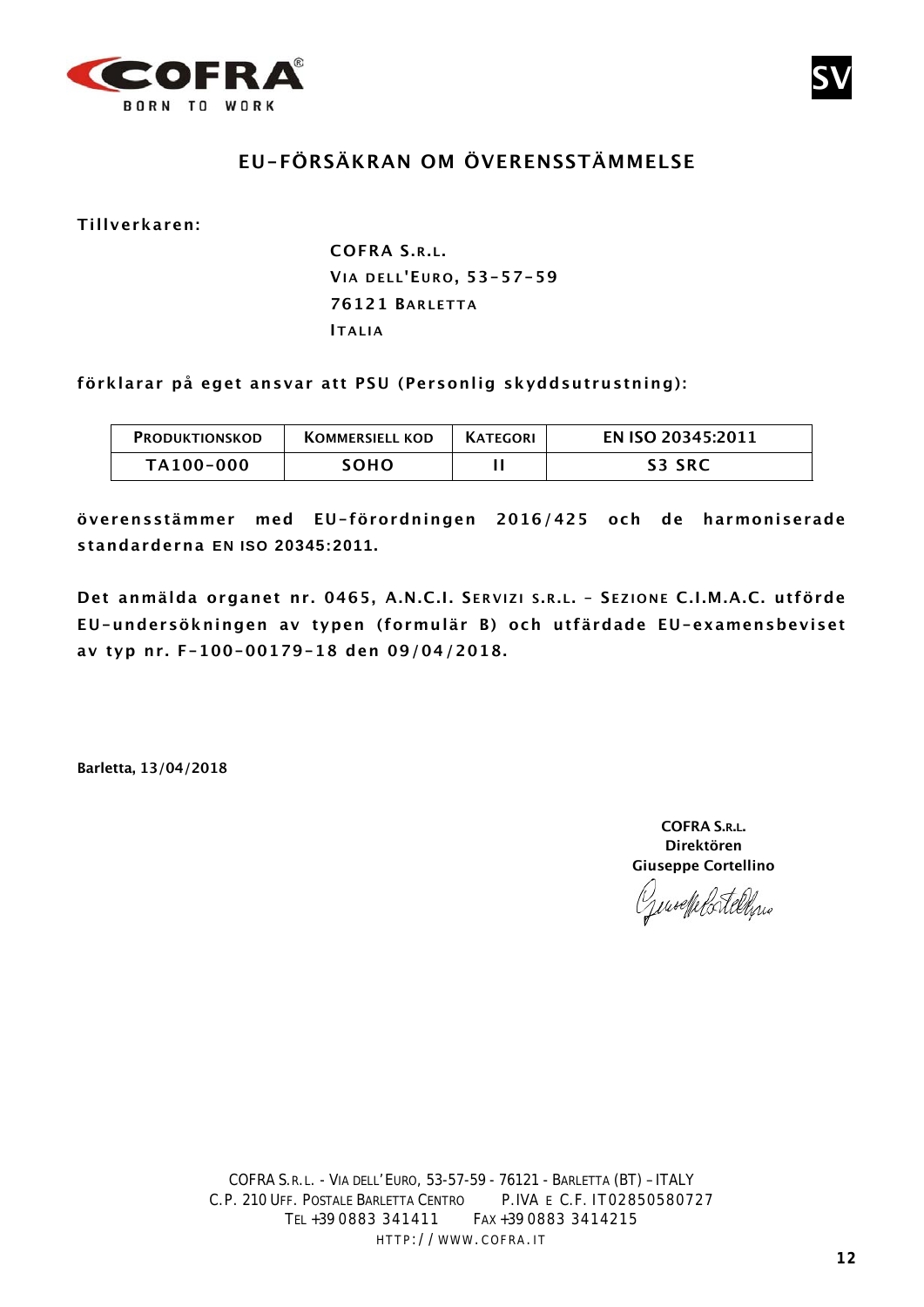



# **EU-FÖRSÄKRAN OM ÖVERENSSTÄMMELSE**

**Tillverkaren:**

**COFRA S.R.L. VIA DELL'E URO , 53-57-59 76121 BARLETTA IT ALIA**

**förklarar på eget ansvar att PSU (Personlig skyddsutrustning):**

| <b>PRODUKTIONSKOD</b> | <b>KOMMERSIELL KOD</b> | <b>KATEGORI</b> | EN ISO 20345:2011 |
|-----------------------|------------------------|-----------------|-------------------|
| TA100-000             | SOHO.                  |                 | <b>S3 SRC</b>     |

**överensstämmer med EU-förordningen 2016/425 och de harmoniserade standarderna EN ISO 20345:2011.**

**Det anmälda organet nr. 0465, A.N.C.I. S ERVIZI S .R.L. – S EZIONE C.I.M.A.C. utförde EU-undersökningen av typen (formulär B) och utfärdade EU-examensbeviset av typ nr. F-100-00179-18 den 09/04/2018.**

**Barletta, 13/04/2018**

**COFRA S.R.L. Direktören Giuseppe Cortellino**

Jensefelstellen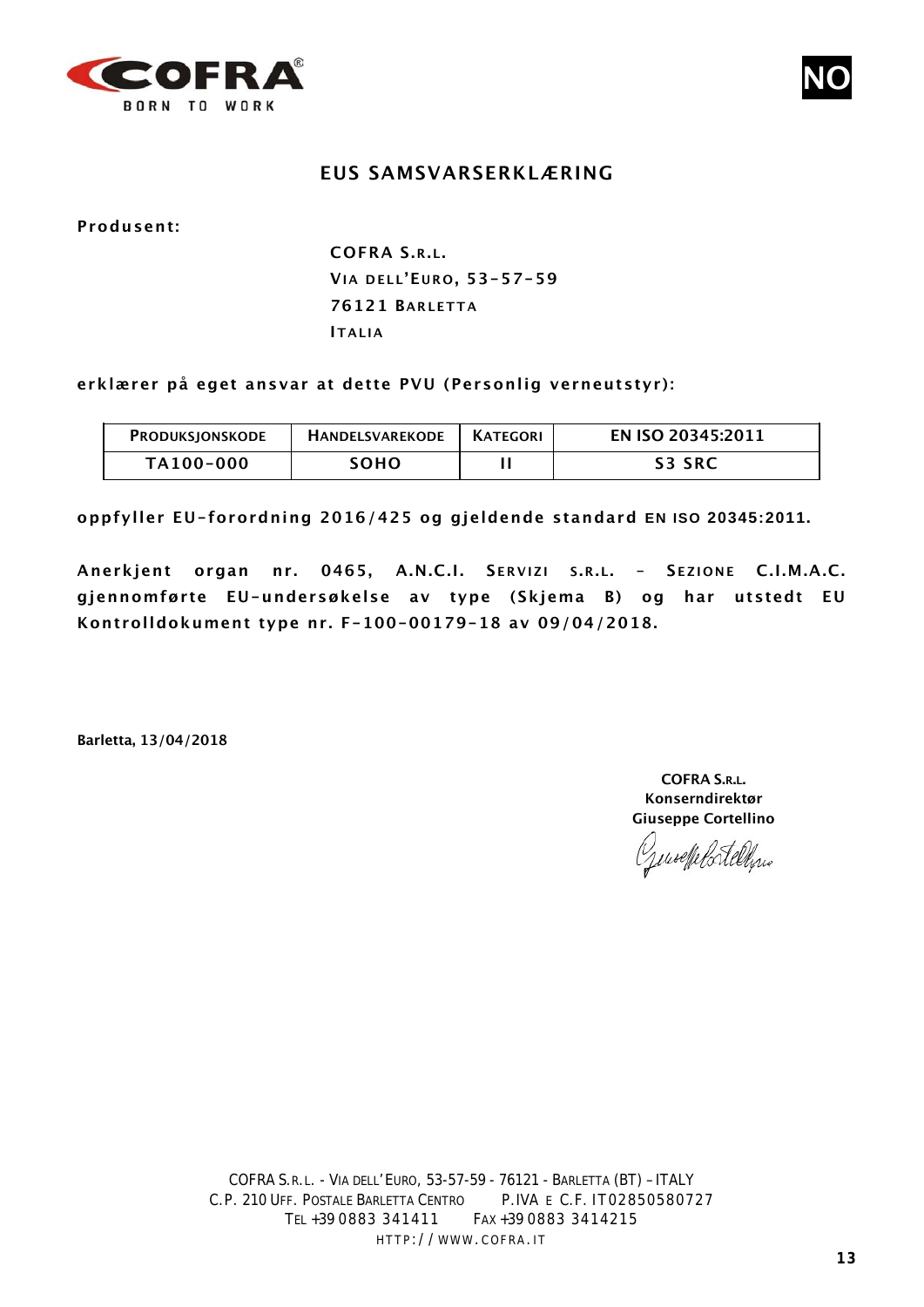



#### **EUS SAMSVARSERKLÆRING**

**Produsent:**

**COFRA S.R.L. VIA DELL'E URO , 53-57-59 76121 BARLETTA ITALIA**

**erklærer på eget ansvar at dette PVU (Personlig verneutstyr):**

| <b>PRODUKSJONSKODE</b> | <b>HANDELSVAREKODE</b> | I KATEGORI | EN ISO 20345:2011 |
|------------------------|------------------------|------------|-------------------|
| TA100-000              | SOHO                   |            | S3 SRC            |

**oppfyller EU-forordning 2016/425 og gjeldende standard EN ISO 20345:2011.**

**Anerkjent organ nr. 0465, A.N.C.I. S ERVIZI S .R.L. – S EZIONE C.I.M.A.C. gjennomførte EU-undersøkelse av type (Skjema B) og har utstedt EU Kontrolldokument type nr. F-100-00179-18 av 09/04/2018.**

**Barletta, 13/04/2018**

**COFRA S.R.L. Konserndirektør Giuseppe Cortellino**

Genseffelstelling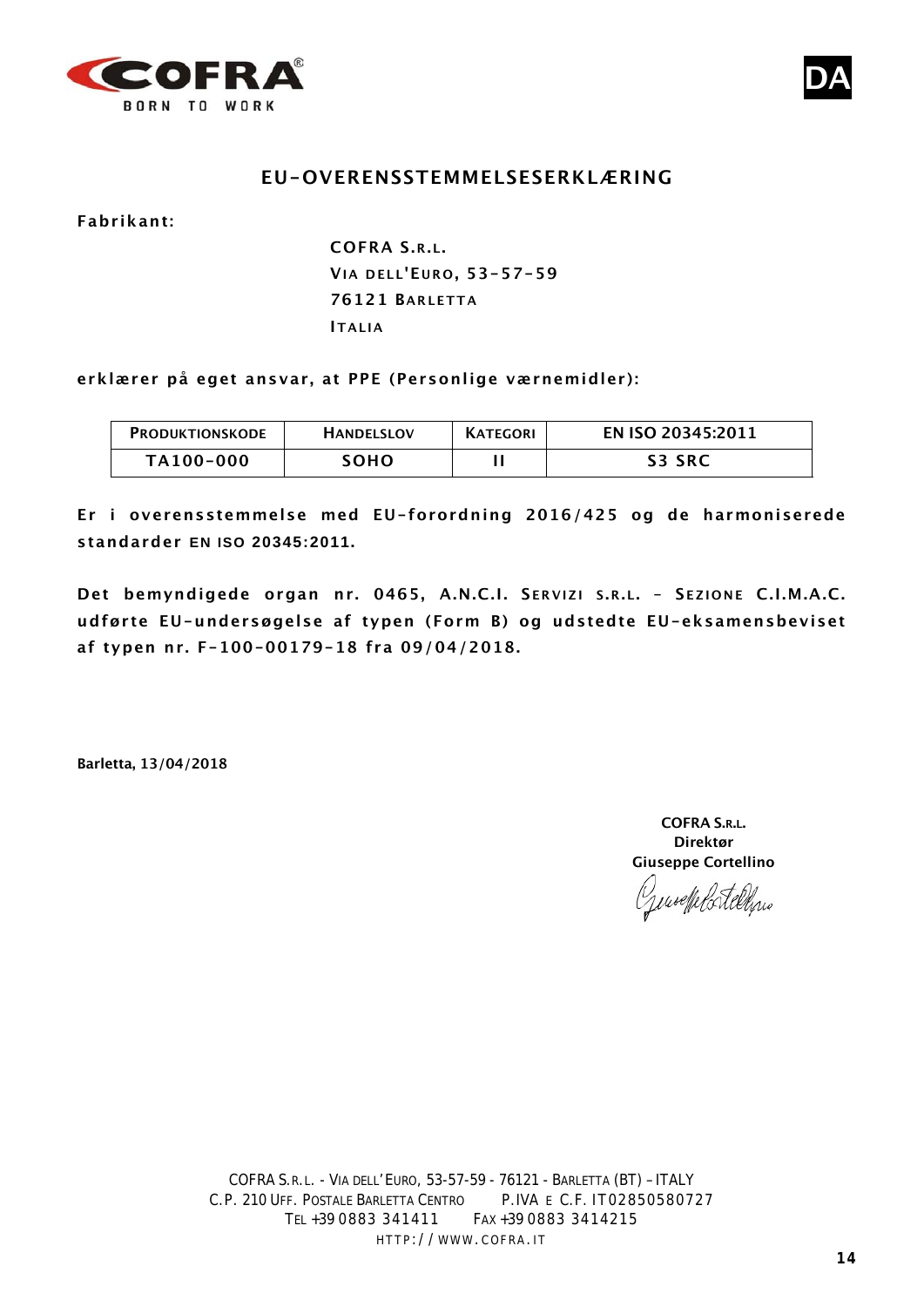



#### **EU-OVERENSSTEMMELSESERKLÆRING**

**Fabrikant:**

**COFRA S.R.L. VIA DELL'E URO , 53-57-59 76121 BARLETTA ITALIA**

**erklærer på eget ansvar, at PPE (Personlige værnemidler):**

| PRODUKTIONSKODE | <b>HANDELSLOV</b> | <b>KATEGORI</b> | EN ISO 20345:2011 |
|-----------------|-------------------|-----------------|-------------------|
| TA100-000       | SOHO              |                 | <b>S3 SRC</b>     |

**Er i overensstemmelse med EU-forordning 2016/425 og de harmoniserede standarder EN ISO 20345:2011.**

**Det bemyndigede organ nr. 0465, A.N.C.I. S ERVIZI S .R.L. – S EZIONE C.I.M.A.C. udførte EU-undersøgelse af typen (Form B) og udstedte EU-eksamensbeviset af typen nr. F-100-00179-18 fra 09/04/2018.**

**Barletta, 13/04/2018**

**COFRA S.R.L. Direktør Giuseppe Cortellino**

Generale Ratellyne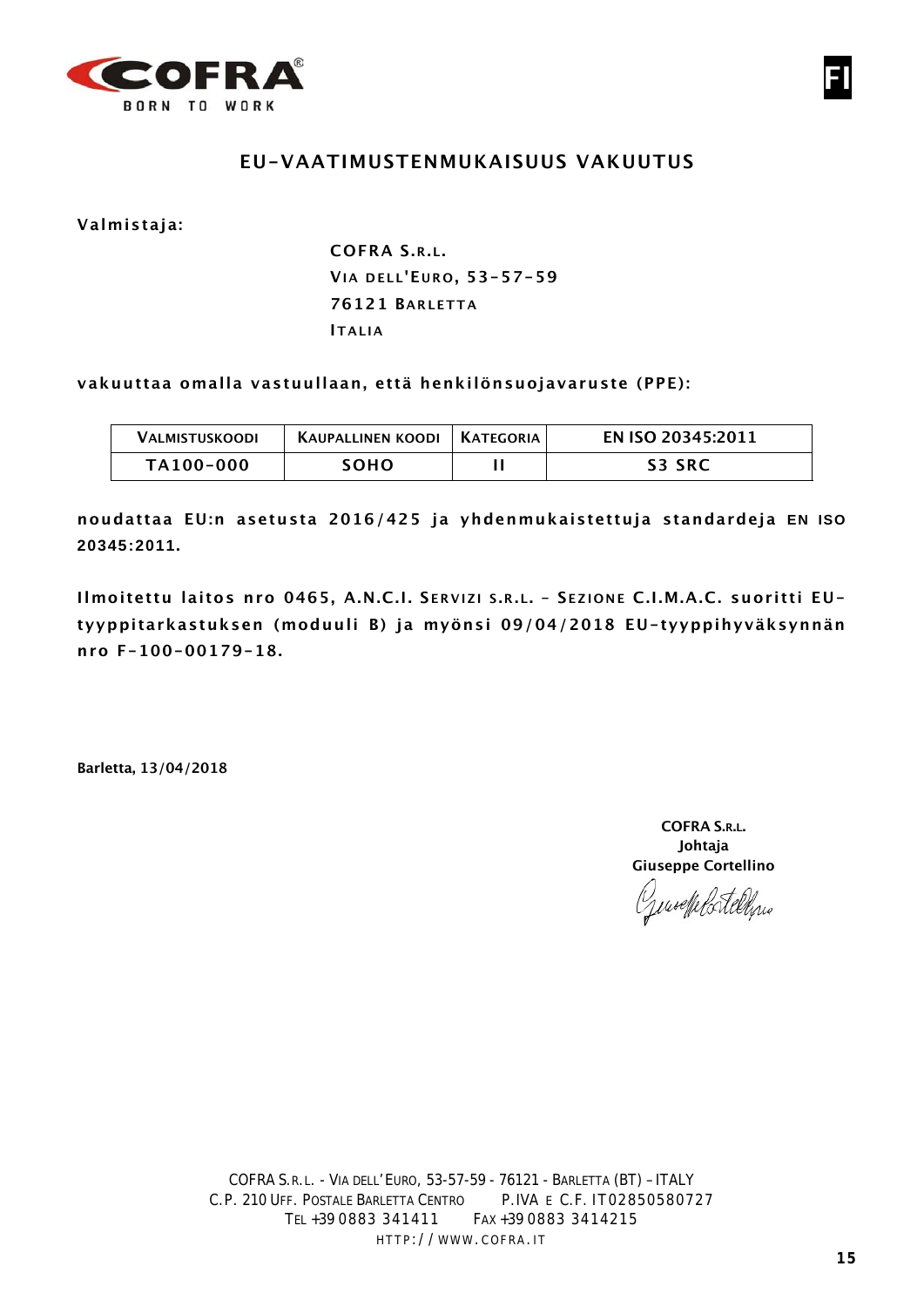



#### **EU-VAATIMUSTENMUKAISUUS VAKUUTUS**

**Valmistaja:**

**COFRA S.R.L. VIA DELL'E URO , 53-57-59 76121 BARLETTA ITALIA**

**vakuuttaa omalla vastuullaan, että henkilönsuojavaruste (PPE):**

| VALMISTUSKOODI | KAUPALLINEN KOODI | I KATEGORIA | EN ISO 20345:2011 |
|----------------|-------------------|-------------|-------------------|
| TA100-000      | SOHO.             |             | <b>S3 SRC</b>     |

**noudattaa EU:n asetusta 2016/425 ja yhdenmukaistettuja standardeja EN ISO 20345:2011.**

**Ilmoitettu laitos nro 0465, A.N.C.I. S ERVIZI S .R.L. – S EZIONE C.I.M.A.C. suoritti EUtyyppitarkastuksen (moduuli B) ja myönsi 09/04/2018 EU-tyyppihyväksynnän nro F-100-00179-18.**

**Barletta, 13/04/2018**

**COFRA S.R.L. Johtaja Giuseppe Cortellino**

Generale Catelline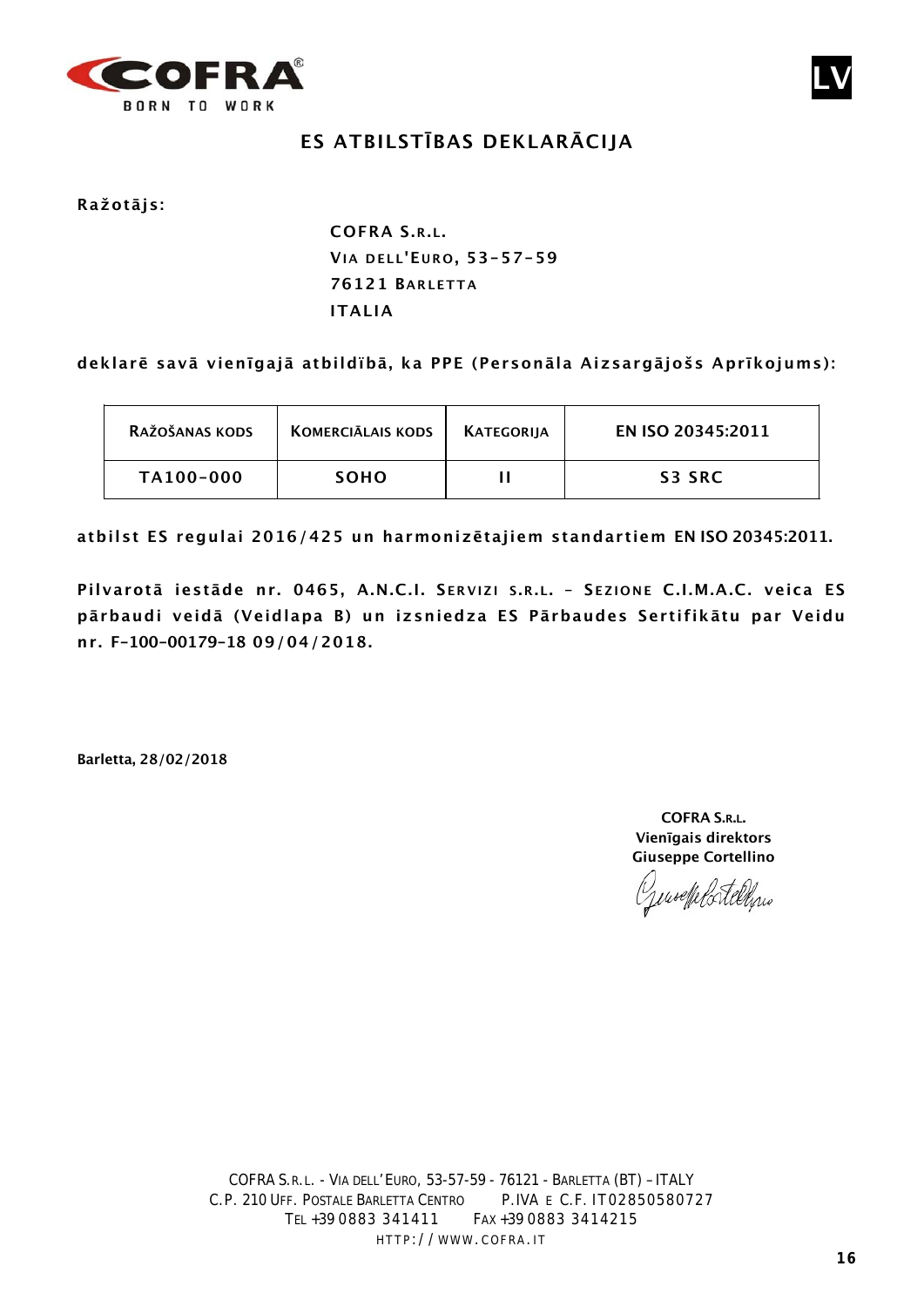

# **ES ATBILSTĪBAS DEKLARĀCIJA**

**Ražotājs:**

**COFRA S.R.L. VIA DELL'E URO , 53-57-59 76121 BARLETTA ITALIA**

#### **deklarē savā vienīgajā atbildïbā, ka PPE (Personāla Aizsargājošs Aprīkojums):**

| RAŽOŠANAS KODS | <b>KOMERCIĀLAIS KODS</b> | KATEGORIJA | EN ISO 20345:2011 |
|----------------|--------------------------|------------|-------------------|
| TA100-000      | <b>SOHO</b>              |            | S3 SRC            |

**atbilst ES regulai 2016/425 un harmonizētajiem standartiem EN ISO 20345:2011.**

**Pilvarotā iestāde nr. 0465, A.N.C.I. S ERVIZI S .R.L. – S EZIONE C.I.M.A.C. veica ES pārbaudi veidā (Veidlapa B) un izsniedza ES Pārbaudes Sertifikātu par Veidu nr. F-100-00179-18 09/04/2018.**

**Barletta, 28/02/2018**

**COFRA S.R.L. Vienīgais direktors Giuseppe Cortellino**

Genochelstelling

**LV**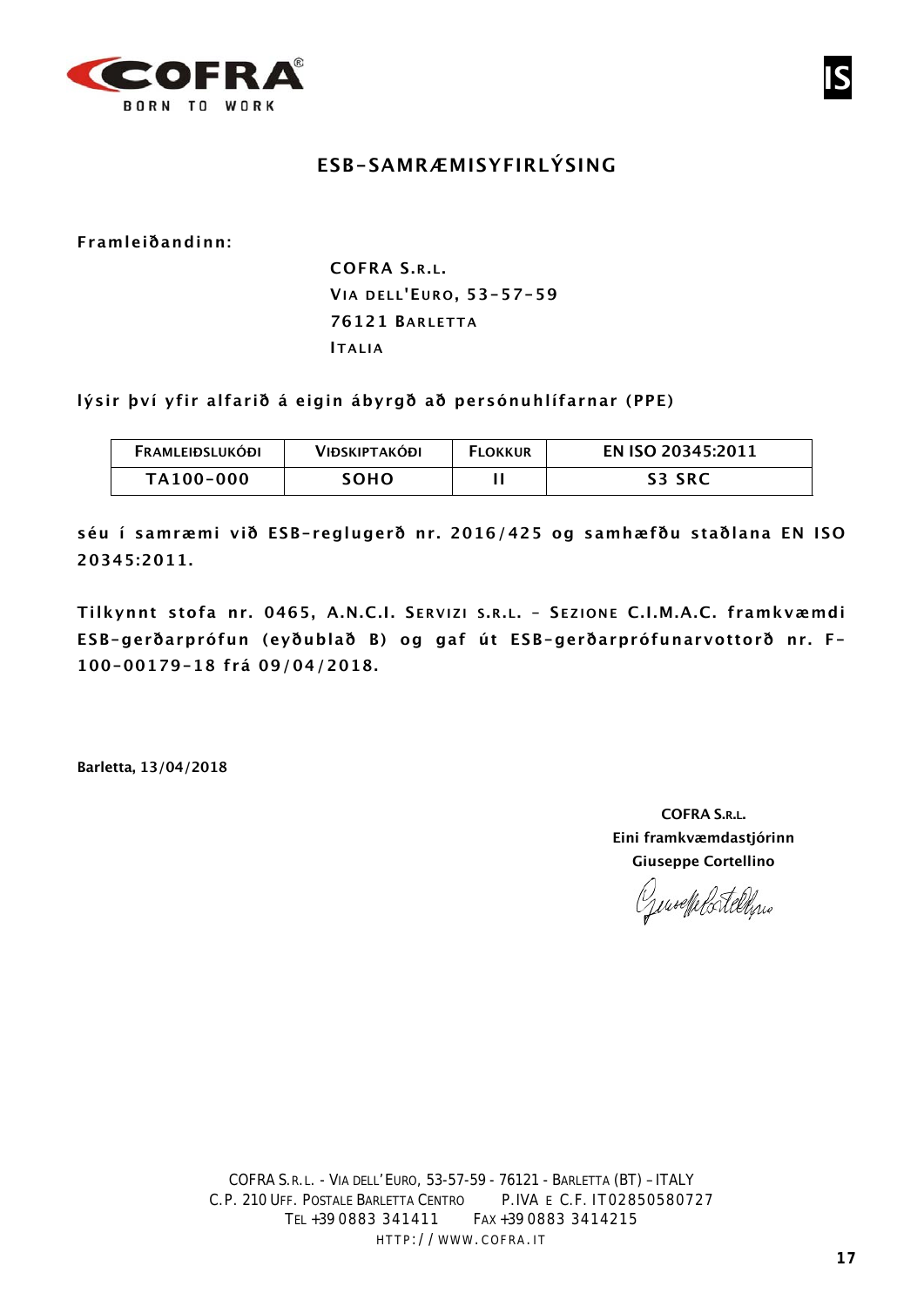

## **ESB-SAMRÆMISYFIRLÝSING**

**Framleiðandinn:**

**COFRA S.R.L. VIA DELL'E URO , 53-57-59 76121 BARLETTA ITALIA**

**lýsir því yfir alfarið á eigin ábyrgð að persónuhlífarnar (PPE)**

| <b>FRAMLEIÐSLUKÓÐI</b> | <b>VIÐSKIPTAKÓÐI</b> | <b>FLOKKUR</b> | EN ISO 20345:2011 |
|------------------------|----------------------|----------------|-------------------|
| TA100-000              | тоно:                |                | <b>S3 SRC</b>     |

**séu í samræmi við ESB-reglugerð nr. 2016/425 og samhæfðu staðlana EN ISO 20345:2011.**

**Tilkynnt stofa nr. 0465, A.N.C.I. S ERVIZI S .R.L. – S EZIONE C.I.M.A.C. framkvæmdi ESB-gerðarprófun (eyðublað B) og gaf út ESB-gerðarprófunarvottorð nr. F-100-00179-18 frá 09/04/2018.**

**Barletta, 13/04/2018**

**COFRA S.R.L. Eini framkvæmdastjórinn Giuseppe Cortellino**

Gensetplatelyne

**IS**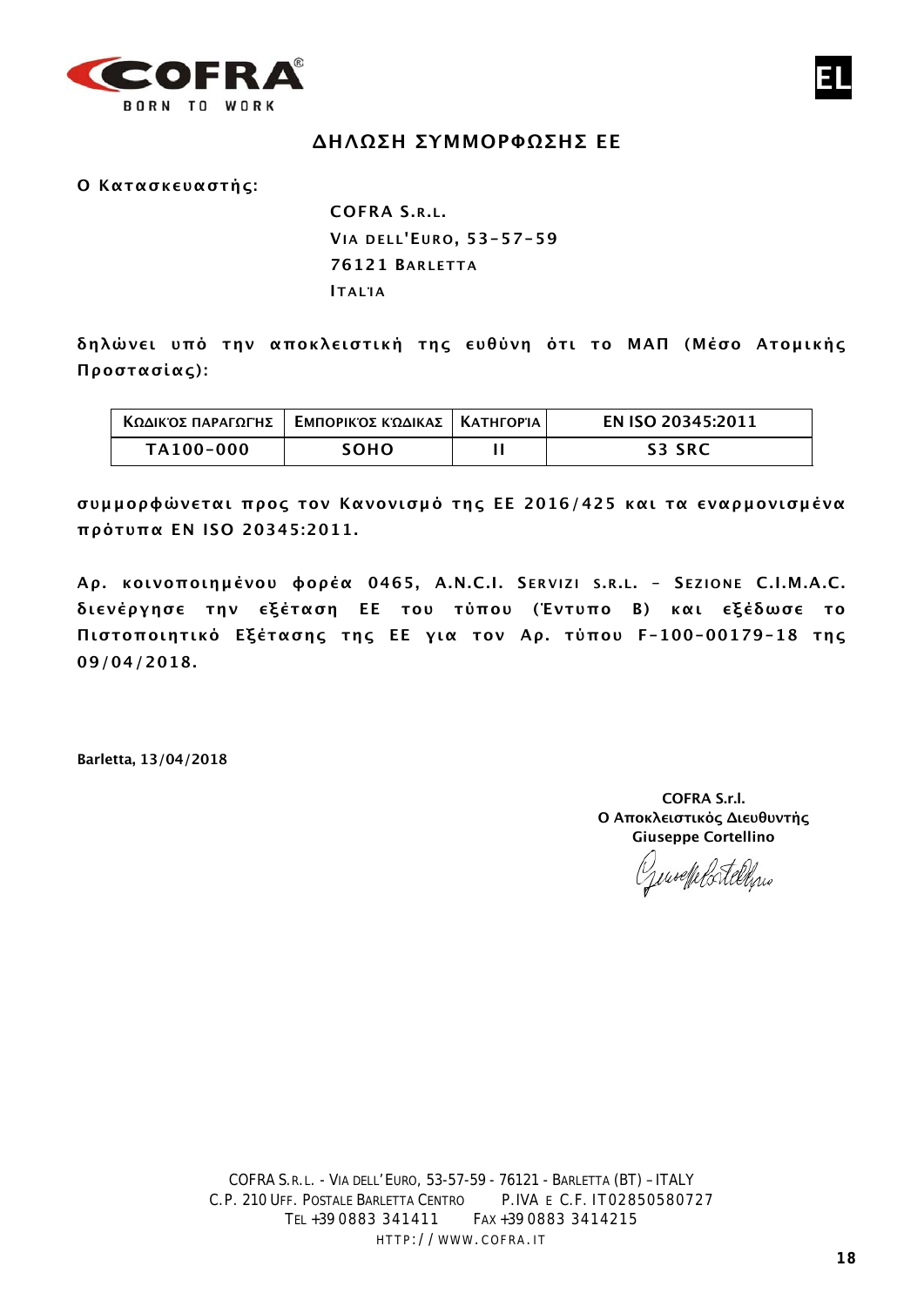

#### **ΔΗΛΩΣΗ ΣΥΜΜΟΡΦΩΣΗΣ ΕΕ**

**Ο Κατασκευαστής:**

**COFRA S.R.L. VIA DELL'E URO , 53-57-59 76121 BARLETTA ΙΤ ΑLΊΑ**

**δηλώνει υπό την αποκλειστική της ευθύνη ότι το ΜΑΠ (Μέσο Ατομικής Προστασίας):**

| ΚΩΔΙΚΌΣ ΠΑΡΑΓΩΓΉΣ | ΕΜΠΟΡΙΚΌΣ ΚΏΔΙΚΑΣ   ΚΑΤΗΓΟΡΊΑ | EN ISO 20345:2011 |
|-------------------|-------------------------------|-------------------|
| TA100-000         | SOHO                          | S3 SRC            |

**συμμορφώνεται προς τον Κανονισμό της ΕΕ 2016/425 και τα εναρμονισμένα πρότυπα EN ISO 20345:2011.**

**Αρ. κοινοποιημένου φορέα 0465, A.N.C.I. S ERVIZI S .R.L. – S EZIONE C.I.M.A.C. διενέργησε την εξέταση ΕΕ του τύπου (Έντυπο B) και εξέδωσε το Πιστοποιητικό Εξέτασης της ΕΕ για τον Αρ. τύπου F-100-00179-18 της 09/04/2018.**

**Barletta, 13/04/2018**

**COFRA S.r.l. Ο Αποκλειστικός Διευθυντής Giuseppe Cortellino**

moeffels telling

**EL**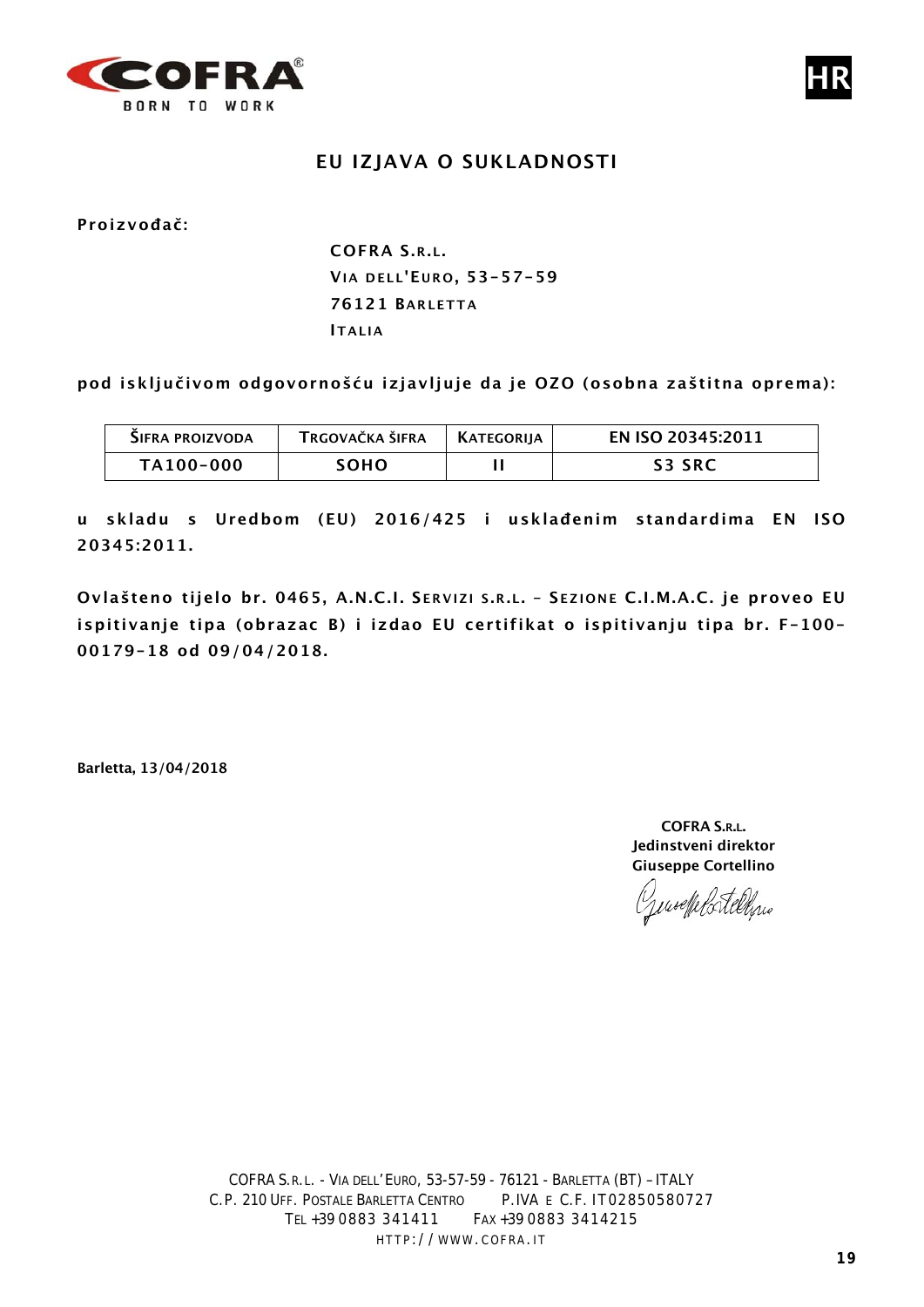

## **EU IZJAVA O SUKLADNOSTI**

**Proizvođač:**

**COFRA S.R.L. VIA DELL'E URO , 53-57-59 76121 BARLETTA ITALIA**

**pod isključivom odgovornošću izjavljuje da je OZO (osobna zaštitna oprema):**

| SIFRA PROIZVODA | TRGOVAČKA ŠIFRA | I KATEGORIIA | EN ISO 20345:2011 |
|-----------------|-----------------|--------------|-------------------|
| TA100-000       | soho            |              | <b>S3 SRC</b>     |

**u skladu s Uredbom (EU) 2016/425 i usklađenim standardima EN ISO 20345:2011.**

**Ovlašteno tijelo br. 0465, A.N.C.I. S ERVIZI S .R.L. – S EZIONE C.I.M.A.C. je proveo EU ispitivanje tipa (obrazac B) i izdao EU certifikat o ispitivanju tipa br. F-100- 00179-18 od 09/04/2018.**

**Barletta, 13/04/2018**

**COFRA S.R.L. Jedinstveni direktor Giuseppe Cortellino**

Jenseffelstellen

**HR**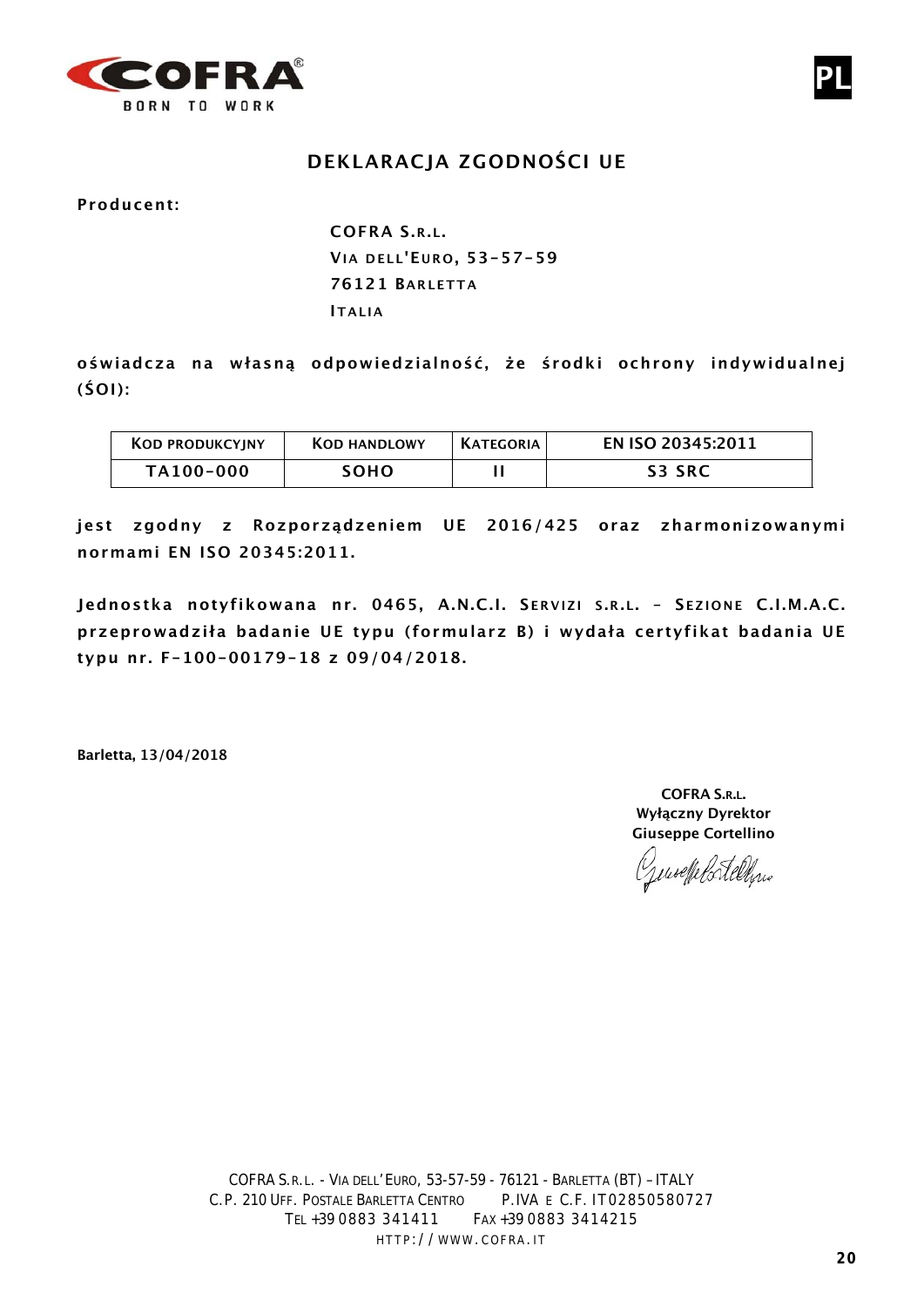

# **DEKLARACJA ZGODNOŚCI UE**

**Producent:**

**COFRA S.R.L. VIA DELL'E URO , 53-57-59 76121 BARLETTA ITALIA**

**oświadcza na własną odpowiedzialność, że środki ochrony indywidualnej (ŚOI):**

| <b>KOD PRODUKCYJNY</b> | <b>KOD HANDLOWY</b> | <b>KATEGORIA</b> | EN ISO 20345:2011 |
|------------------------|---------------------|------------------|-------------------|
| TA100-000              | SOHO.               |                  | <b>S3 SRC</b>     |

**jest zgodny z Rozporządzeniem UE 2016/425 oraz zharmonizowanymi normami EN ISO 20345:2011.**

**Jednostka notyfikowana nr. 0465, A.N.C.I. S ERVIZI S .R.L. – S EZIONE C.I.M.A.C. przeprowadziła badanie UE typu (formularz B) i wydała certyfikat badania UE typu nr. F-100-00179-18 z 09/04/2018.**

**Barletta, 13/04/2018**

**COFRA S.R.L. Wyłączny Dyrektor Giuseppe Cortellino**

Juseffelortellinio

**PL**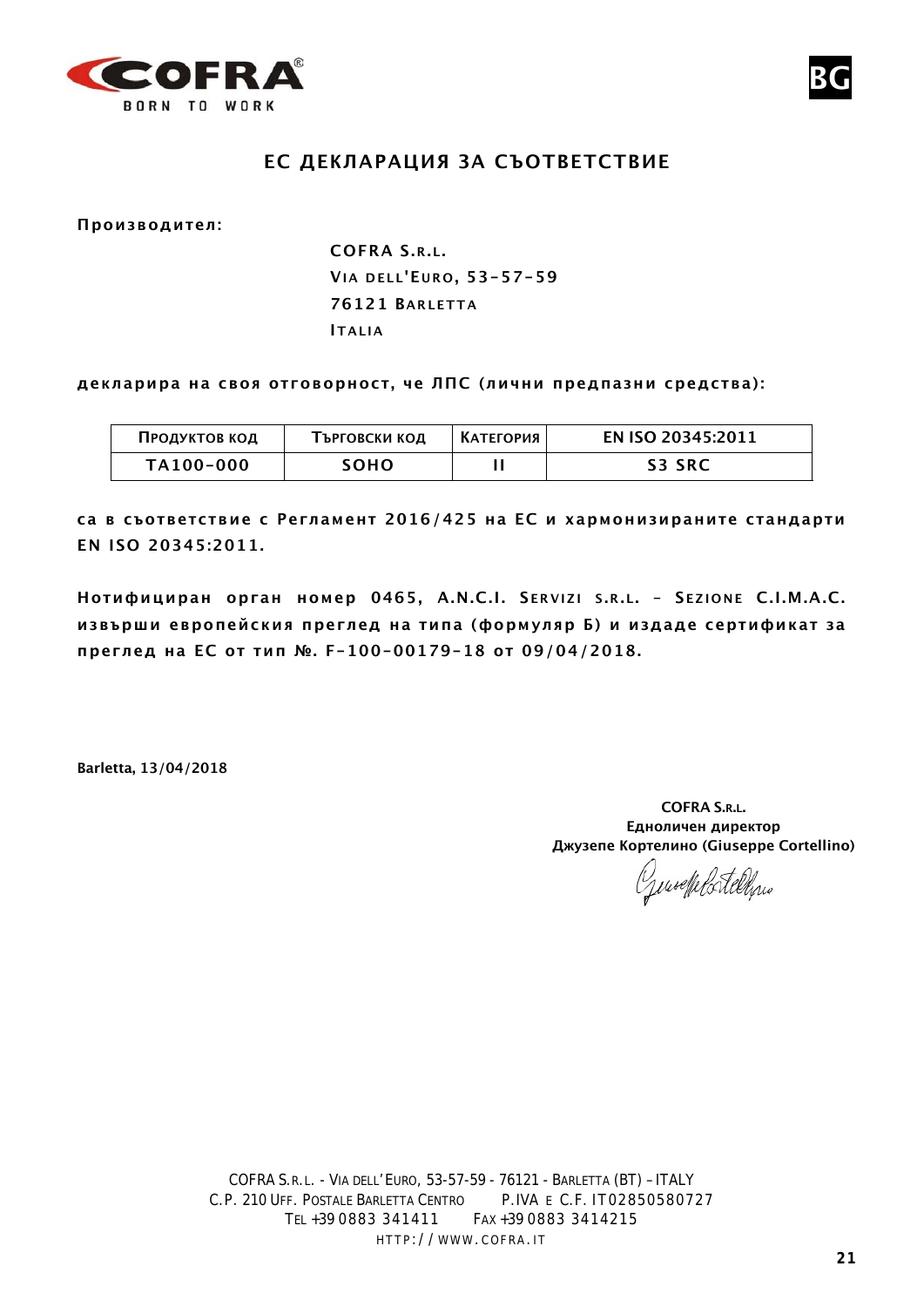



**Производител:**

**COFRA S.R.L. VIA DELL'E URO , 53-57-59 76121 BARLETTA ITALIA**

**декларира на своя отговорност, че ЛПС (лични предпазни средства):**

| Продуктов код | Търговски код | I КАТЕГОРИЯ | EN ISO 20345:2011 |
|---------------|---------------|-------------|-------------------|
| TA100-000     | SOHO.         |             | <b>S3 SRC</b>     |

**са в съответствие с Регламент 2016/425 на ЕС и хармонизираните стандарти EN ISO 20345:2011.**

**Нотифициран орган номер 0465, A.N.C.I. S ERVIZI S .R.L. – S EZIONE C.I.M.A.C. извърши европейския преглед на типа (формуляр Б) и издаде сертификат за преглед на ЕС от тип №. F-100-00179-18 от 09/04/2018.**

**Barletta, 13/04/2018**

**COFRA S.R.L. Едноличен директор Джузепе Кортелино (Giuseppe Cortellino)**

Generale Portellino

**BG**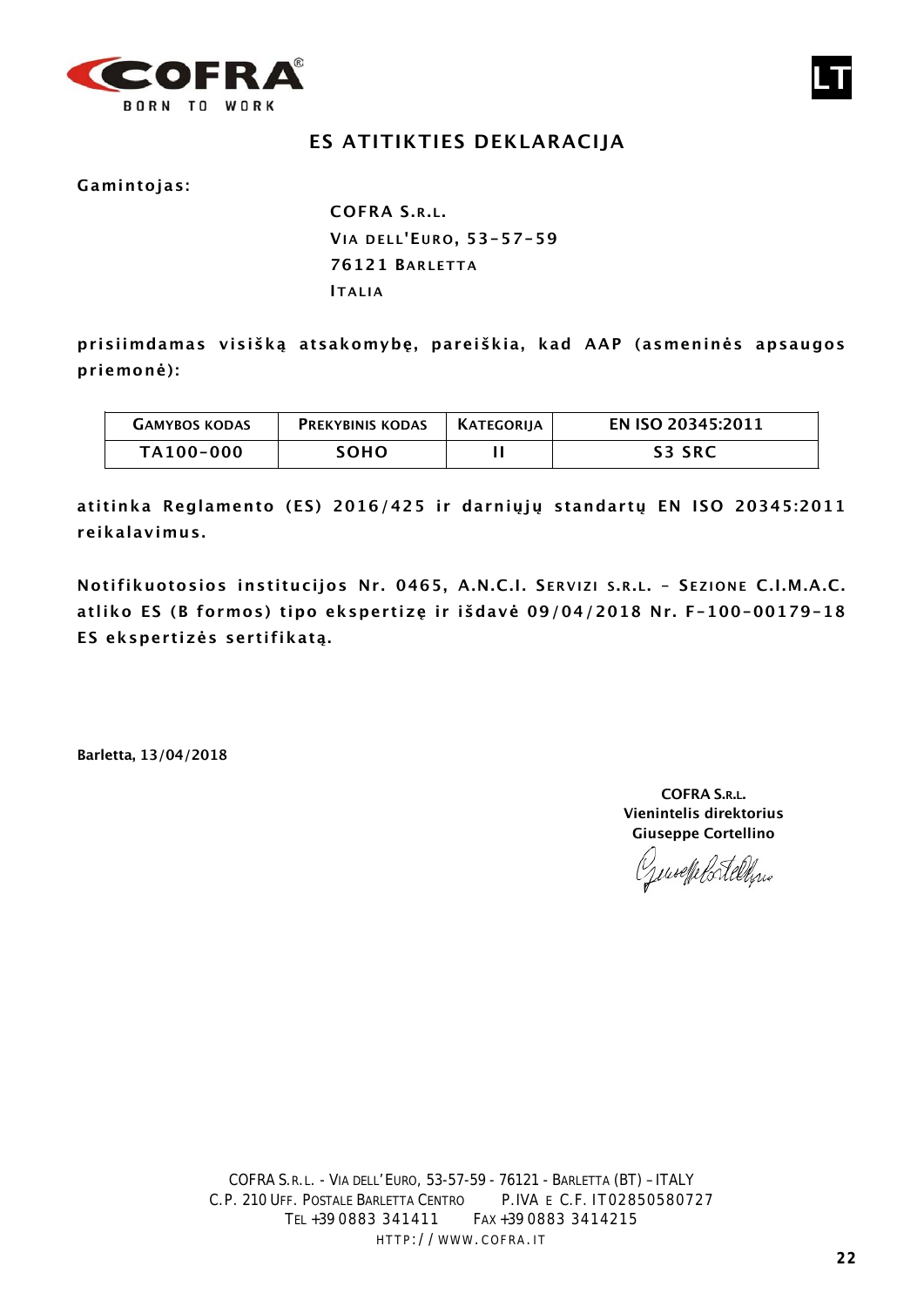

# **ES ATITIKTIES DEKLARACIJA**

**Gamintojas:**

**COFRA S.R.L. VIA DELL'E URO , 53-57-59 76121 BARLETTA ITALIA**

**prisiimdamas visišką atsakomybę, pareiškia, kad AAP (asmeninės apsaugos priemonė):**

| <b>GAMYBOS KODAS</b> | <b>PREKYBINIS KODAS</b> | KATEGORIIA | EN ISO 20345:2011 |
|----------------------|-------------------------|------------|-------------------|
| TA100-000            | SOHO                    |            | S3 SRC            |

**atitinka Reglamento (ES) 2016/425 ir darniųjų standartų EN ISO 20345:2011 reikalavimus.**

**Notifikuotosios institucijos Nr. 0465, A.N.C.I. S ERVIZI S .R.L. – S EZIONE C.I.M.A.C. atliko ES (B formos) tipo ekspertizę ir išdavė 09/04/2018 Nr. F-100-00179-18 ES ekspertizės sertifikatą.**

**Barletta, 13/04/2018**

**COFRA S.R.L. Vienintelis direktorius Giuseppe Cortellino**

Jenseffelstelling

**LT**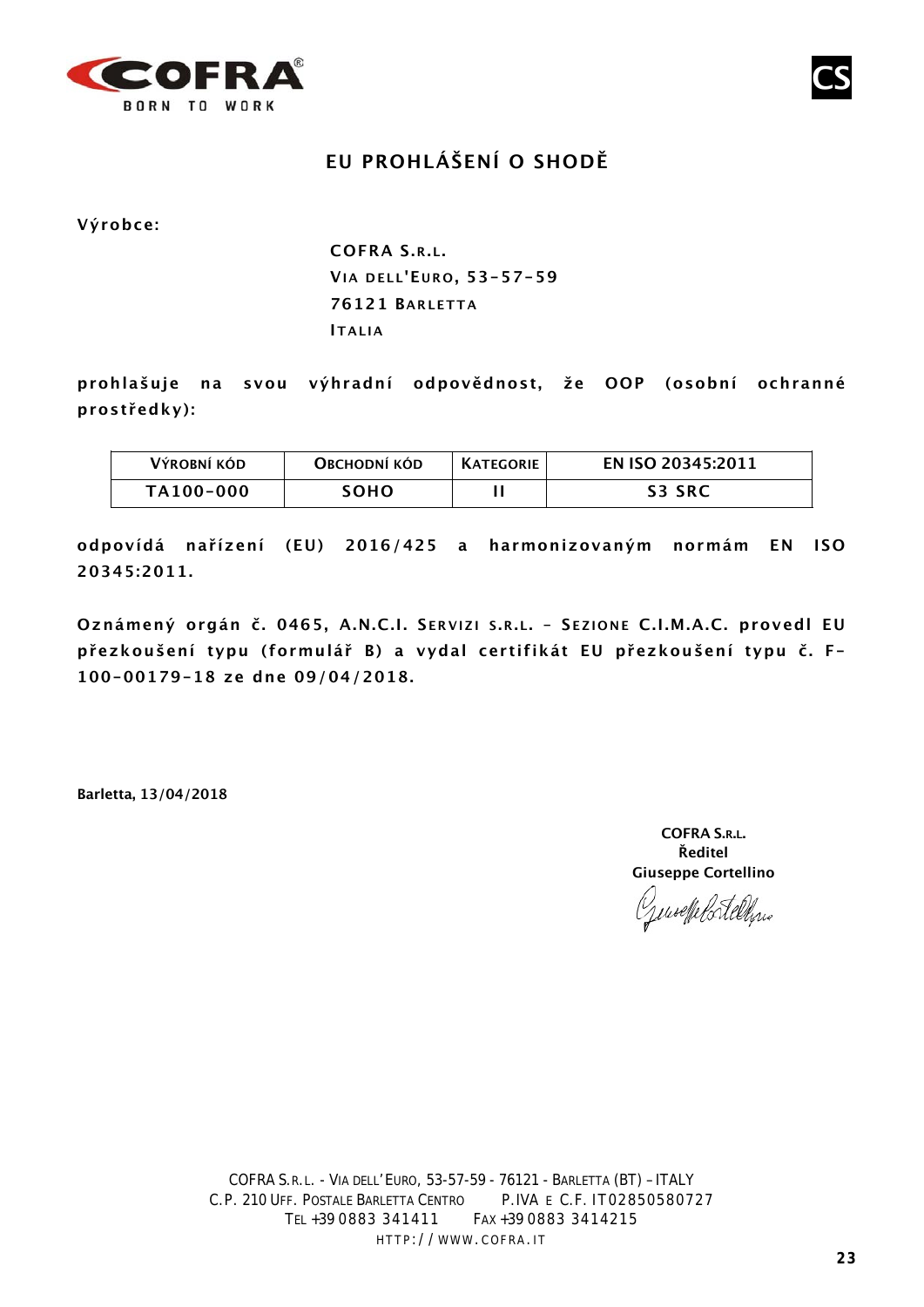

# **EU PROHLÁŠENÍ O SHODĚ**

**Výrobce:**

**COFRA S.R.L. VIA DELL'E URO , 53-57-59 76121 BARLETT A IT ALIA**

**prohlašuje na svou výhradní odpovědnost, že OOP (osobní ochranné prostředky):**

| Výrobní kód | OBCHODNÍ KÓD | <b>KATEGORIE</b> | EN ISO 20345:2011 |
|-------------|--------------|------------------|-------------------|
| TA100-000   | SOHO.        |                  | S3 SRC            |

**odpovídá nařízení (EU) 2016/425 a harmonizovaným normám EN ISO 20345:2011.**

**Oznámený orgán č. 0465, A.N.C.I. S ERVIZI S .R.L. – S EZIONE C.I.M.A.C. provedl EU přezkoušení typu (formulář B) a vydal certifikát EU přezkoušení typu č. F-100-00179-18 ze dne 09/04/2018.**

**Barletta, 13/04/2018**

**COFRA S.R.L. Ředitel Giuseppe Cortellino**

useffelortelling

**CS**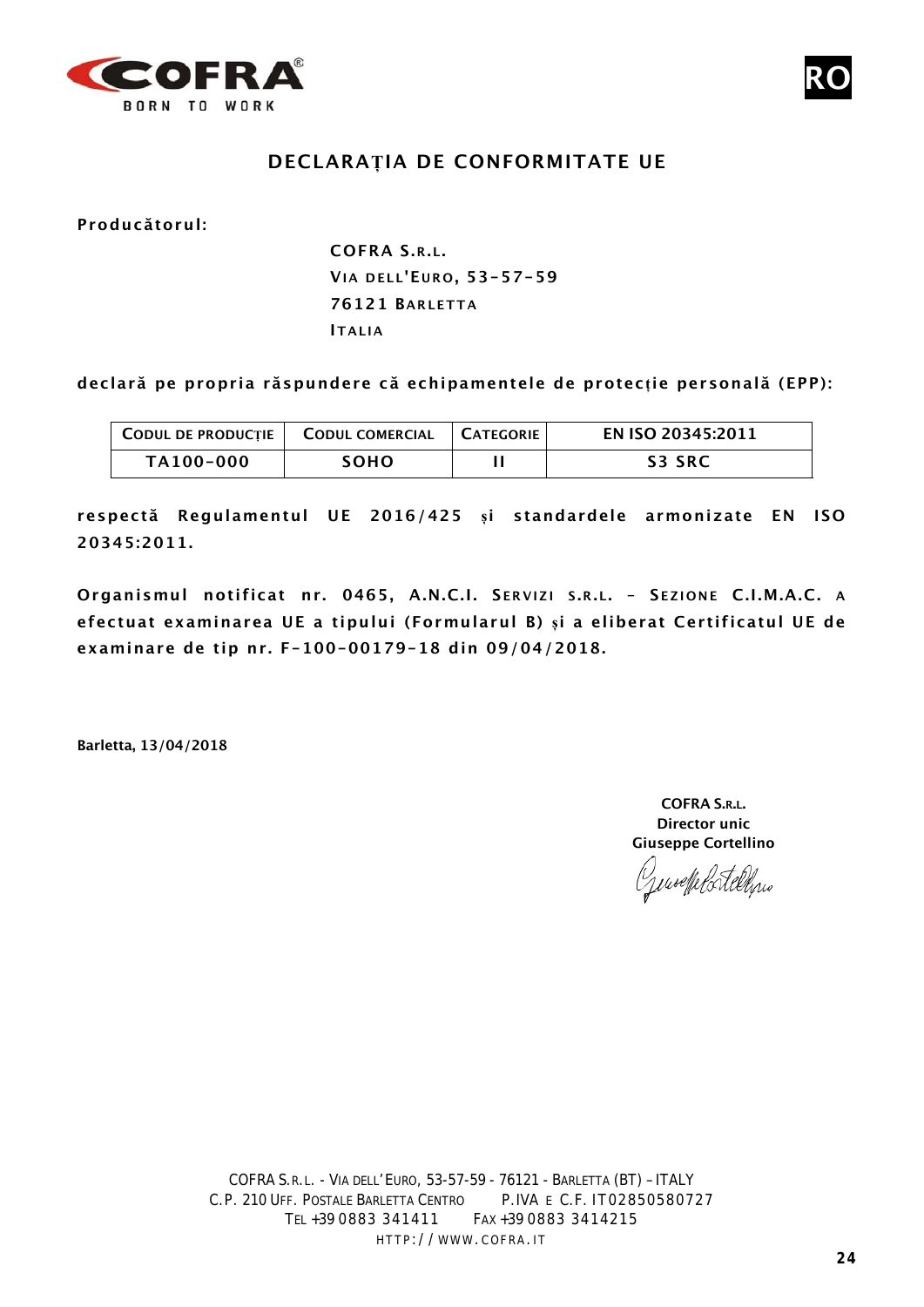



## **DECLARAȚIA DE CONFORMITATE UE**

**Producătorul:**

**COFRA S.R.L. VIA DELL'E URO , 53-57-59 76121 BARLETTA ITALIA**

**declară pe propria răspundere că echipamentele de protecție personală (EPP):**

| <b>CODUL DE PRODUCȚIE   CODUL COMERCIAL</b> |      | I CATEGORIE | EN ISO 20345:2011 |
|---------------------------------------------|------|-------------|-------------------|
| TA100-000                                   | soho |             | <b>S3 SRC</b>     |

**respectă Regulamentul UE 2016/425 și standardele armonizate EN ISO 20345:2011.**

**Organismul notificat nr. 0465, A.N.C.I. S ERVIZI S .R.L. – S EZIONE C.I.M.A.C. A efectuat examinarea UE a tipului (Formularul B) și a eliberat Certificatul UE de examinare de tip nr. F-100-00179-18 din 09/04/2018.**

**Barletta, 13/04/2018**

**COFRA S.R.L. Director unic Giuseppe Cortellino**

puselfelortellinis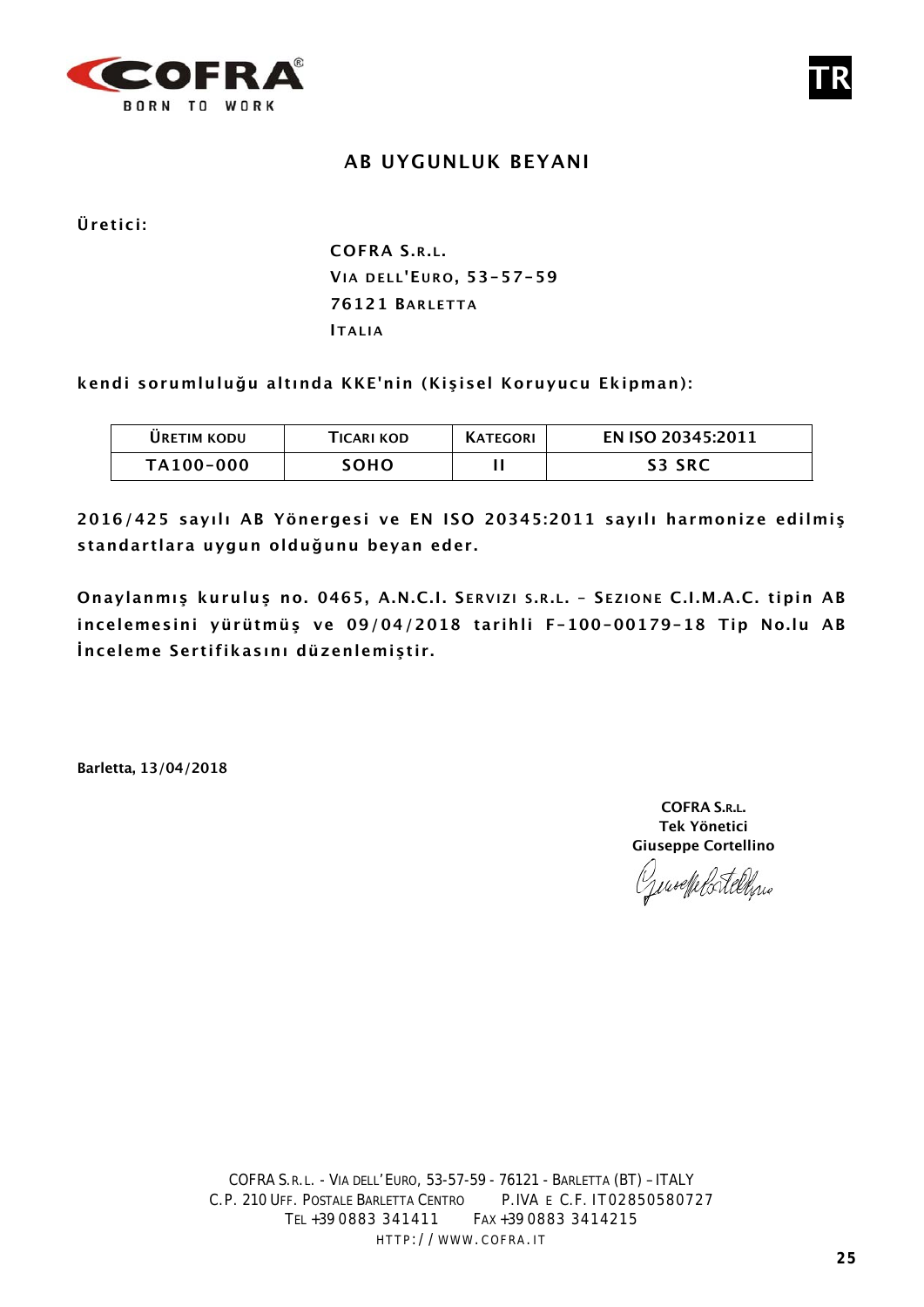

### **AB UYGUNLUK BEYANI**

**Üretici:**

# **COFRA S.R.L. VIA DELL'E URO , 53-57-59 76121 BARLETTA ITALIA**

**kendi sorumluluğu altında KKE'nin (Kişisel Koruyucu Ekipman):**

| <b>URETIM KODU</b> | TICARI KOD  | <b>KATEGORI</b> | EN ISO 20345:2011 |
|--------------------|-------------|-----------------|-------------------|
| TA100-000          | <b>SOHO</b> |                 | <b>S3 SRC</b>     |

**2016/425 sayılı AB Yönergesi ve EN ISO 20345:2011 sayılı harmonize edilmiş standartlara uygun olduğunu beyan eder.**

**Onaylanmış kuruluş no. 0465, A.N.C.I. S ERVIZI S .R.L. – S EZIONE C.I.M.A.C. tipin AB incelemesini yürütmüş ve 09/04/2018 tarihli F-100-00179-18 Tip No.lu AB İnceleme Sertifikasını düzenlemiştir.**

**Barletta, 13/04/2018**

**COFRA S.R.L. Tek Yönetici Giuseppe Cortellino**

unoelle Cortellinio

**TR**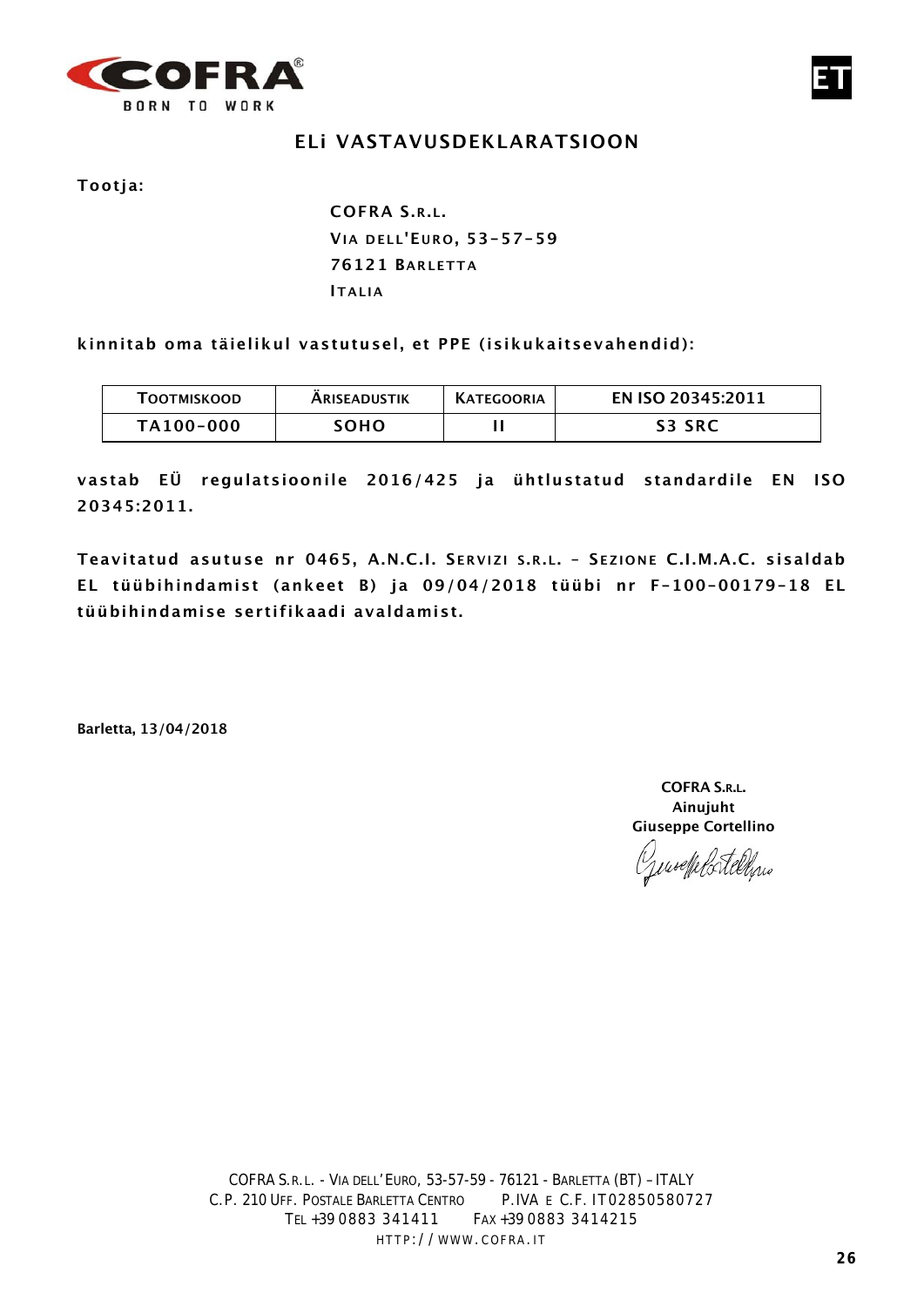

## **ELi VASTAVUSDEKLARATSIOON**

**Tootja:**

**COFRA S.R.L. VIA DELL'E URO , 53-57-59 76121 BARLETTA IT ALIA**

**kinnitab oma täielikul vastutusel, et PPE (isikukaitsevahendid):**

| <b>TOOTMISKOOD</b> | <b>ARISEADUSTIK</b> | <b>KATEGOORIA</b> | EN ISO 20345:2011 |
|--------------------|---------------------|-------------------|-------------------|
| TA100-000          | <b>SOHO</b>         |                   | <b>S3 SRC</b>     |

**vastab EÜ regulatsioonile 2016/425 ja ühtlustatud standardile EN ISO 20345:2011.**

**Teavitatud asutuse nr 0465, A.N.C.I. S ERVIZI S .R.L. – S EZIONE C.I.M.A.C. sisaldab EL tüübihindamist (ankeet B) ja 09/04/2018 tüübi nr F-100-00179-18 EL tüübihindamise sert ifikaadi avaldamist.**

**Barletta, 13/04/2018**

**COFRA S.R.L. Ainujuht Giuseppe Cortellino**

Genoeffelstelling

**ET**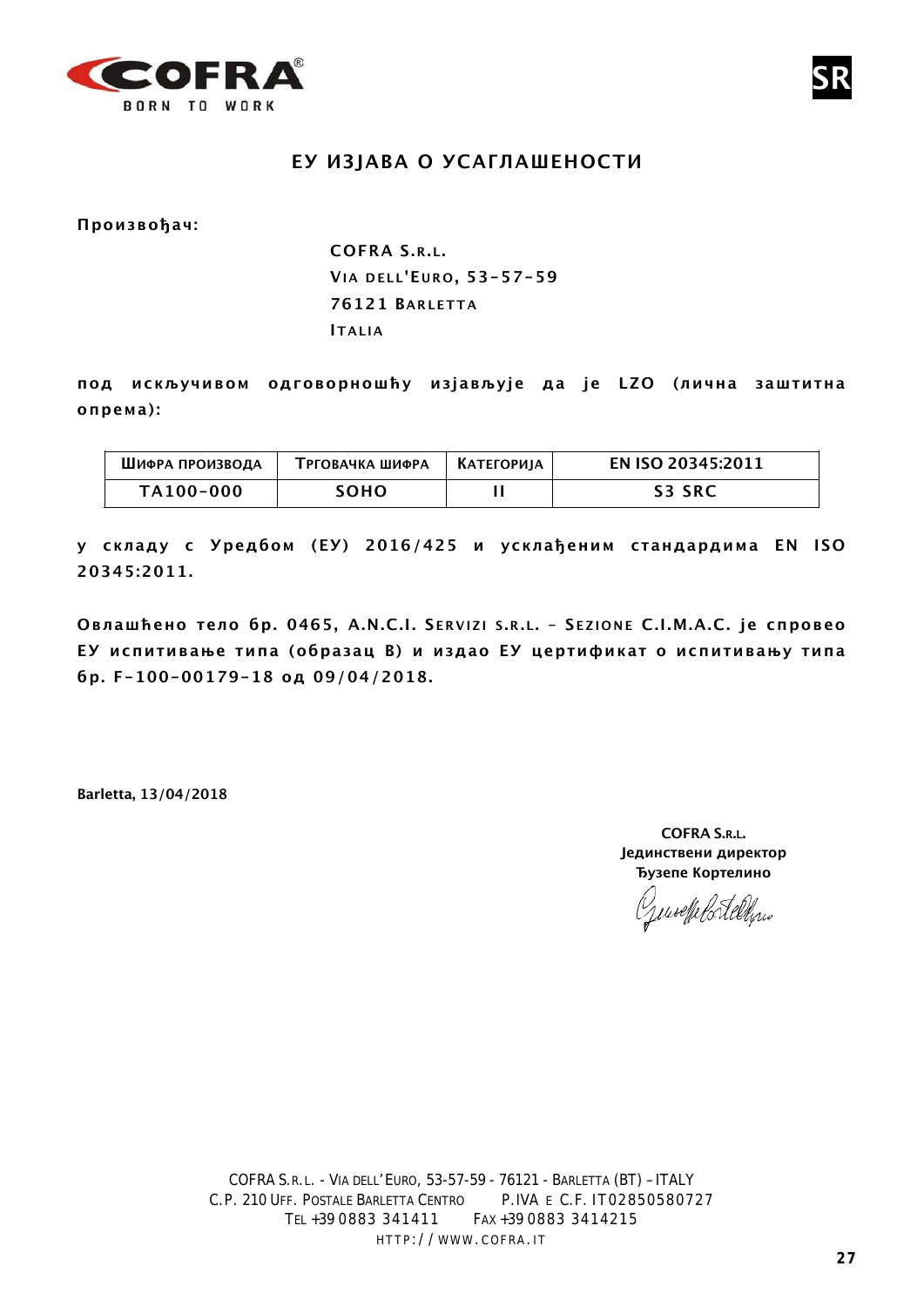

#### **ЕУ ИЗЈАВА О УСАГЛАШЕНОСТИ**

**Произвођач:**

**COFRA S.R.L. VIA DELL'E URO , 53-57-59 76121 BARLETTA ITALIA**

**под искључивом одговорношћу изјављује да је LZO (лична заштитна опрема):**

| ШИФРА ПРОИЗВОДА | ТРГОВАЧКА ШИФРА | <b>КАТЕГОРИЈА</b> | <b>EN ISO 20345:2011</b> |
|-----------------|-----------------|-------------------|--------------------------|
| TA100-000       | <b>SOHO</b>     |                   | <b>S3 SRC</b>            |

**у складу с Уредбом (ЕУ) 2016/425 и усклађеним стандардима EN ISO 20345:2011.** 

**Овлашћено тело бр. 0465, A.N.C.I. S ERVIZI S .R.L. – S EZIONE C.I.M.A.C. je спровео ЕУ испитивање типа (образац B) и издао ЕУ цертификат о испитивању типа бр. F-100-00179-18 од 09/04/2018.** 

**Barletta, 13/04/2018**

**COFRA S.R.L. Јединствени директор Ђузепе Кортелино**

**SR**